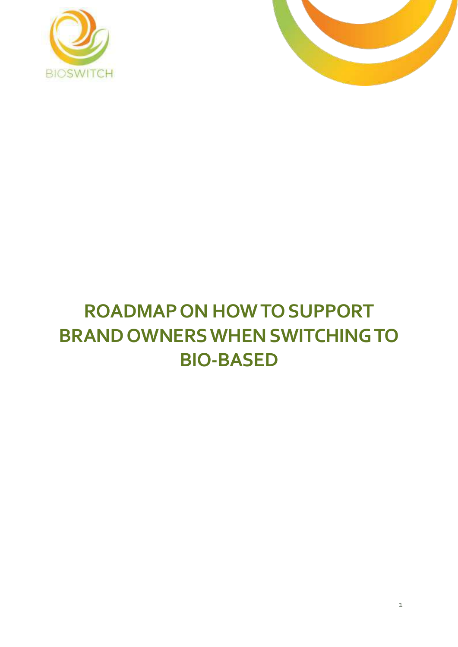



# **ROADMAP ON HOW TO SUPPORT BRAND OWNERS WHEN SWITCHING TO BIO-BASED**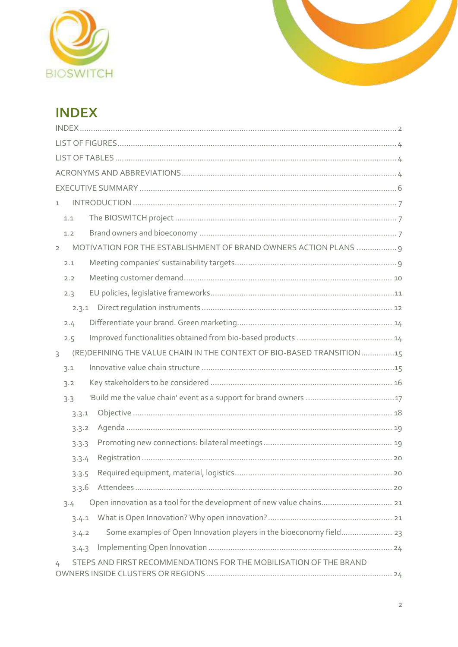



# <span id="page-1-0"></span>**INDEX**

| $\mathbf{1}$                                                                       |  |
|------------------------------------------------------------------------------------|--|
| 1.1                                                                                |  |
| 1.2                                                                                |  |
| MOTIVATION FOR THE ESTABLISHMENT OF BRAND OWNERS ACTION PLANS  9<br>$\overline{2}$ |  |
| 2.1                                                                                |  |
| 2.2                                                                                |  |
| 2.3                                                                                |  |
| 2.3.1                                                                              |  |
| 2.4                                                                                |  |
| 2.5                                                                                |  |
| (RE) DEFINING THE VALUE CHAIN IN THE CONTEXT OF BIO-BASED TRANSITION 15<br>3       |  |
| 3.1                                                                                |  |
| 3.2                                                                                |  |
| 3.3                                                                                |  |
| 3.3.1                                                                              |  |
| 3.3.2                                                                              |  |
| 3.3.3                                                                              |  |
| 3.3.4                                                                              |  |
| 3.3.5                                                                              |  |
| 3.3.6                                                                              |  |
| Open innovation as a tool for the development of new value chains 21<br>3.4        |  |
| 3.4.1                                                                              |  |
| 3.4.2                                                                              |  |
| 3.4.3                                                                              |  |
| STEPS AND FIRST RECOMMENDATIONS FOR THE MOBILISATION OF THE BRAND<br>4             |  |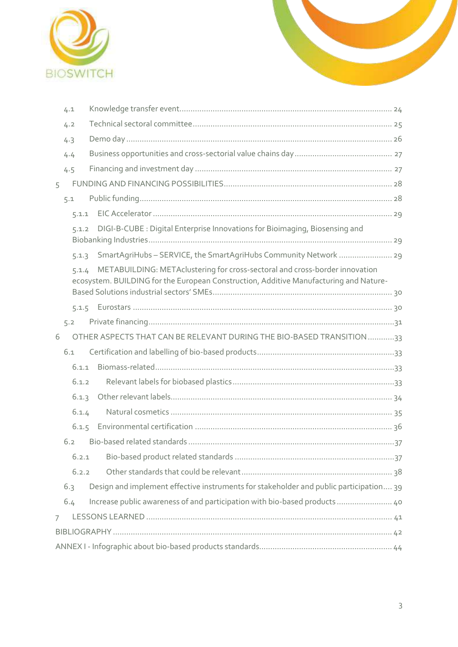

|   | 4.1   |                                                                                                                                                                      |  |
|---|-------|----------------------------------------------------------------------------------------------------------------------------------------------------------------------|--|
|   | 4.2   |                                                                                                                                                                      |  |
|   | 4.3   |                                                                                                                                                                      |  |
|   | 4.4   |                                                                                                                                                                      |  |
|   | 4.5   |                                                                                                                                                                      |  |
| 5 |       |                                                                                                                                                                      |  |
|   | 5.1   |                                                                                                                                                                      |  |
|   | 5.1.1 |                                                                                                                                                                      |  |
|   | 5.1.2 | DIGI-B-CUBE : Digital Enterprise Innovations for Bioimaging, Biosensing and                                                                                          |  |
|   | 5.1.3 | SmartAgriHubs-SERVICE, the SmartAgriHubs Community Network  29                                                                                                       |  |
|   | 5.1.4 | METABUILDING: METAclustering for cross-sectoral and cross-border innovation<br>ecosystem. BUILDING for the European Construction, Additive Manufacturing and Nature- |  |
|   |       |                                                                                                                                                                      |  |
|   | 5.2   |                                                                                                                                                                      |  |
| 6 |       | OTHER ASPECTS THAT CAN BE RELEVANT DURING THE BIO-BASED TRANSITION33                                                                                                 |  |
|   | 6.1   |                                                                                                                                                                      |  |
|   | 6.1.1 |                                                                                                                                                                      |  |
|   | 6.1.2 |                                                                                                                                                                      |  |
|   | 6.1.3 |                                                                                                                                                                      |  |
|   | 6.1.4 |                                                                                                                                                                      |  |
|   |       |                                                                                                                                                                      |  |
|   | 6.2   |                                                                                                                                                                      |  |
|   | 6.2.1 |                                                                                                                                                                      |  |
|   | 6.2.2 |                                                                                                                                                                      |  |
|   | 6.3   | Design and implement effective instruments for stakeholder and public participation 39                                                                               |  |
|   | 6.4   | Increase public awareness of and participation with bio-based products 40                                                                                            |  |
| 7 |       |                                                                                                                                                                      |  |
|   |       |                                                                                                                                                                      |  |
|   |       |                                                                                                                                                                      |  |
|   |       |                                                                                                                                                                      |  |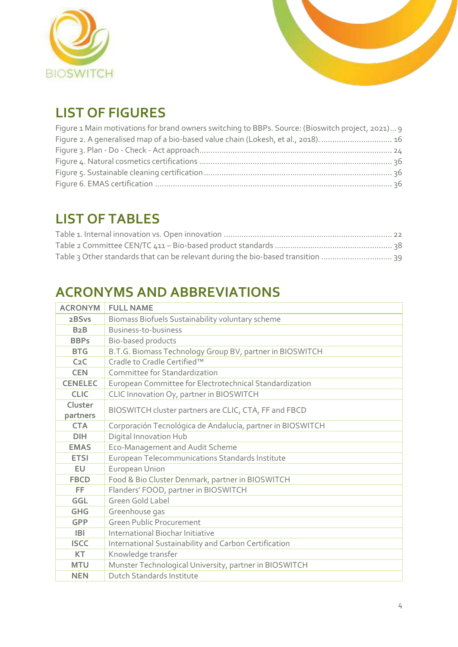



# <span id="page-3-0"></span>**LIST OF FIGURES**

| Figure 1 Main motivations for brand owners switching to BBPs. Source: (Bioswitch project, 2021) 9 |  |
|---------------------------------------------------------------------------------------------------|--|
| Figure 2. A generalised map of a bio-based value chain (Lokesh, et al., 2018).  16                |  |
|                                                                                                   |  |
|                                                                                                   |  |
|                                                                                                   |  |
|                                                                                                   |  |

# <span id="page-3-1"></span>**LIST OF TABLES**

| Table 3 Other standards that can be relevant during the bio-based transition  39 |  |
|----------------------------------------------------------------------------------|--|

# <span id="page-3-2"></span>**ACRONYMS AND ABBREVIATIONS**

| <b>ACRONYM</b>   | <b>FULL NAME</b>                                           |
|------------------|------------------------------------------------------------|
| 2BSvs            | Biomass Biofuels Sustainability voluntary scheme           |
| B2B              | Business-to-business                                       |
| <b>BBPs</b>      | Bio-based products                                         |
| <b>BTG</b>       | B.T.G. Biomass Technology Group BV, partner in BIOSWITCH   |
| C <sub>2</sub> C | Cradle to Cradle Certified™                                |
| <b>CEN</b>       | Committee for Standardization                              |
| <b>CENELEC</b>   | European Committee for Electrotechnical Standardization    |
| <b>CLIC</b>      | CLIC Innovation Oy, partner in BIOSWITCH                   |
| Cluster          | BIOSWITCH cluster partners are CLIC, CTA, FF and FBCD      |
| partners         |                                                            |
| <b>CTA</b>       | Corporación Tecnológica de Andalucía, partner in BIOSWITCH |
| <b>DIH</b>       | Digital Innovation Hub                                     |
| <b>EMAS</b>      | Eco-Management and Audit Scheme                            |
| <b>ETSI</b>      | European Telecommunications Standards Institute            |
| EU               | European Union                                             |
| <b>FBCD</b>      | Food & Bio Cluster Denmark, partner in BIOSWITCH           |
| <b>FF</b>        | Flanders' FOOD, partner in BIOSWITCH                       |
| GGL              | Green Gold Label                                           |
| <b>GHG</b>       | Greenhouse gas                                             |
| <b>GPP</b>       | <b>Green Public Procurement</b>                            |
| <b>IBI</b>       | International Biochar Initiative                           |
| <b>ISCC</b>      | International Sustainability and Carbon Certification      |
| <b>KT</b>        | Knowledge transfer                                         |
| <b>MTU</b>       | Munster Technological University, partner in BIOSWITCH     |
| <b>NEN</b>       | <b>Dutch Standards Institute</b>                           |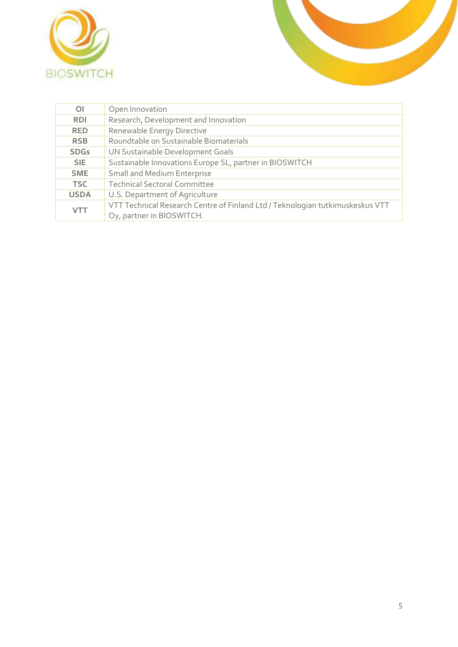



| $\overline{O}$ | Open Innovation                                                               |
|----------------|-------------------------------------------------------------------------------|
| <b>RDI</b>     | Research, Development and Innovation                                          |
| <b>RED</b>     | Renewable Energy Directive                                                    |
| <b>RSB</b>     | Roundtable on Sustainable Biomaterials                                        |
| <b>SDGs</b>    | UN Sustainable Development Goals                                              |
| SIE.           | Sustainable Innovations Europe SL, partner in BIOSWITCH                       |
| <b>SME</b>     | <b>Small and Medium Enterprise</b>                                            |
| <b>TSC</b>     | <b>Technical Sectoral Committee</b>                                           |
| <b>USDA</b>    | U.S. Department of Agriculture                                                |
| <b>VTT</b>     | VTT Technical Research Centre of Finland Ltd / Teknologian tutkimuskeskus VTT |
|                | Oy, partner in BIOSWITCH.                                                     |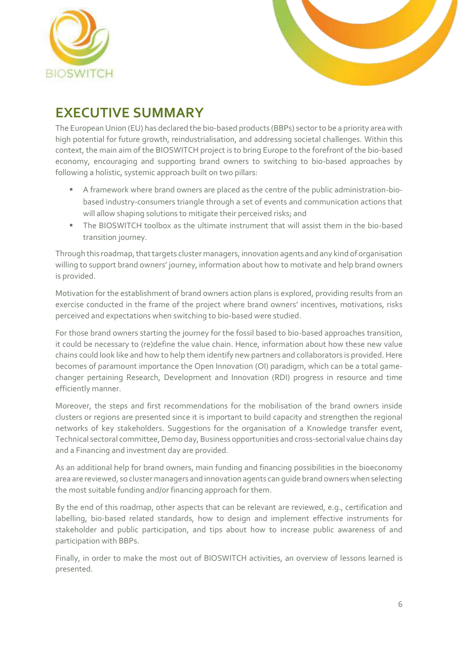



# <span id="page-5-0"></span>**EXECUTIVE SUMMARY**

The European Union (EU) has declared the bio-based products (BBPs) sector to be a priority area with high potential for future growth, reindustrialisation, and addressing societal challenges. Within this context, the main aim of the BIOSWITCH project is to bring Europe to the forefront of the bio-based economy, encouraging and supporting brand owners to switching to bio-based approaches by following a holistic, systemic approach built on two pillars:

- A framework where brand owners are placed as the centre of the public administration-biobased industry-consumers triangle through a set of events and communication actions that will allow shaping solutions to mitigate their perceived risks; and
- The BIOSWITCH toolbox as the ultimate instrument that will assist them in the bio-based transition journey.

Through this roadmap, that targets cluster managers, innovation agents and any kind of organisation willing to support brand owners' journey, information about how to motivate and help brand owners is provided.

Motivation for the establishment of brand owners action plans is explored, providing results from an exercise conducted in the frame of the project where brand owners' incentives, motivations, risks perceived and expectations when switching to bio-based were studied.

For those brand owners starting the journey for the fossil based to bio-based approaches transition, it could be necessary to (re)define the value chain. Hence, information about how these new value chains could look like and how to help them identify new partners and collaborators is provided. Here becomes of paramount importance the Open Innovation (OI) paradigm, which can be a total gamechanger pertaining Research, Development and Innovation (RDI) progress in resource and time efficiently manner.

Moreover, the steps and first recommendations for the mobilisation of the brand owners inside clusters or regions are presented since it is important to build capacity and strengthen the regional networks of key stakeholders. Suggestions for the organisation of a Knowledge transfer event, Technical sectoral committee, Demo day, Business opportunities and cross-sectorial value chains day and a Financing and investment day are provided.

As an additional help for brand owners, main funding and financing possibilities in the bioeconomy area are reviewed, so cluster managers and innovation agents can guide brand owners when selecting the most suitable funding and/or financing approach for them.

By the end of this roadmap, other aspects that can be relevant are reviewed, e.g., certification and labelling, bio-based related standards, how to design and implement effective instruments for stakeholder and public participation, and tips about how to increase public awareness of and participation with BBPs.

Finally, in order to make the most out of BIOSWITCH activities, an overview of lessons learned is presented.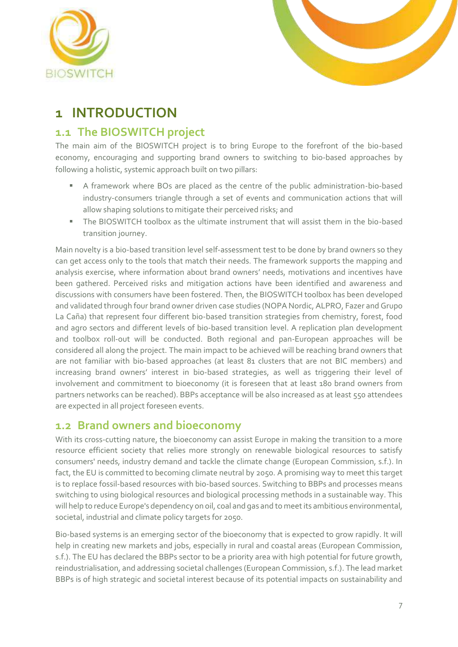



# <span id="page-6-0"></span>**1 INTRODUCTION**

### <span id="page-6-1"></span>**1.1 The BIOSWITCH project**

The main aim of the BIOSWITCH project is to bring Europe to the forefront of the bio-based economy, encouraging and supporting brand owners to switching to bio-based approaches by following a holistic, systemic approach built on two pillars:

- A framework where BOs are placed as the centre of the public administration-bio-based industry-consumers triangle through a set of events and communication actions that will allow shaping solutions to mitigate their perceived risks; and
- The BIOSWITCH toolbox as the ultimate instrument that will assist them in the bio-based transition journey.

Main novelty is a bio-based transition level self-assessment test to be done by brand owners so they can get access only to the tools that match their needs. The framework supports the mapping and analysis exercise, where information about brand owners' needs, motivations and incentives have been gathered. Perceived risks and mitigation actions have been identified and awareness and discussions with consumers have been fostered. Then, the BIOSWITCH toolbox has been developed and validated through four brand owner driven case studies (NOPA Nordic, ALPRO, Fazer and Grupo La Caña) that represent four different bio-based transition strategies from chemistry, forest, food and agro sectors and different levels of bio-based transition level. A replication plan development and toolbox roll-out will be conducted. Both regional and pan-European approaches will be considered all along the project. The main impact to be achieved will be reaching brand owners that are not familiar with bio-based approaches (at least 81 clusters that are not BIC members) and increasing brand owners' interest in bio-based strategies, as well as triggering their level of involvement and commitment to bioeconomy (it is foreseen that at least 180 brand owners from partners networks can be reached). BBPs acceptance will be also increased as at least 550 attendees are expected in all project foreseen events.

### <span id="page-6-2"></span>**1.2 Brand owners and bioeconomy**

With its cross-cutting nature, the bioeconomy can assist Europe in making the transition to a more resource efficient society that relies more strongly on renewable biological resources to satisfy consumers' needs, industry demand and tackle the climate change (European Commission, s.f.). In fact, the EU is committed to becoming climate neutral by 2050. A promising way to meet this target is to replace fossil-based resources with bio-based sources. Switching to BBPs and processes means switching to using biological resources and biological processing methods in a sustainable way. This will help to reduce Europe's dependency on oil, coal and gas and to meet its ambitious environmental, societal, industrial and climate policy targets for 2050.

Bio-based systems is an emerging sector of the bioeconomy that is expected to grow rapidly. It will help in creating new markets and jobs, especially in rural and coastal areas (European Commission, s.f.). The EU has declared the BBPs sector to be a priority area with high potential for future growth, reindustrialisation, and addressing societal challenges (European Commission, s.f.). The lead market BBPs is of high strategic and societal interest because of its potential impacts on sustainability and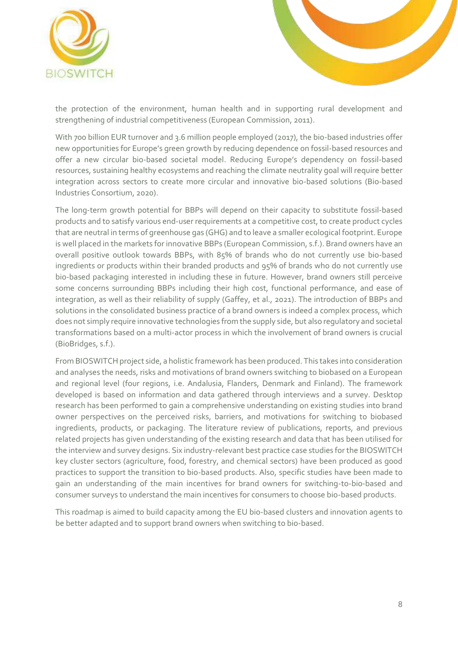



the protection of the environment, human health and in supporting rural development and strengthening of industrial competitiveness (European Commission, 2011).

With 700 billion EUR turnover and 3.6 million people employed (2017), the bio-based industries offer new opportunities for Europe's green growth by reducing dependence on fossil-based resources and offer a new circular bio-based societal model. Reducing Europe's dependency on fossil-based resources, sustaining healthy ecosystems and reaching the climate neutrality goal will require better integration across sectors to create more circular and innovative bio-based solutions (Bio-based Industries Consortium, 2020).

The long-term growth potential for BBPs will depend on their capacity to substitute fossil-based products and to satisfy various end-user requirements at a competitive cost, to create product cycles that are neutral in terms of greenhouse gas (GHG) and to leave a smaller ecological footprint. Europe is well placed in the markets for innovative BBPs (European Commission, s.f.). Brand owners have an overall positive outlook towards BBPs, with 85% of brands who do not currently use bio-based ingredients or products within their branded products and 95% of brands who do not currently use bio-based packaging interested in including these in future. However, brand owners still perceive some concerns surrounding BBPs including their high cost, functional performance, and ease of integration, as well as their reliability of supply (Gaffey, et al., 2021). The introduction of BBPs and solutions in the consolidated business practice of a brand owners is indeed a complex process, which does not simply require innovative technologies from the supply side, but also regulatory and societal transformations based on a multi-actor process in which the involvement of brand owners is crucial (BioBridges, s.f.).

From BIOSWITCH project side, a holistic framework has been produced. This takes into consideration and analyses the needs, risks and motivations of brand owners switching to biobased on a European and regional level (four regions, i.e. Andalusia, Flanders, Denmark and Finland). The framework developed is based on information and data gathered through interviews and a survey. Desktop research has been performed to gain a comprehensive understanding on existing studies into brand owner perspectives on the perceived risks, barriers, and motivations for switching to biobased ingredients, products, or packaging. The literature review of publications, reports, and previous related projects has given understanding of the existing research and data that has been utilised for the interview and survey designs. Six industry-relevant best practice case studies for the BIOSWITCH key cluster sectors (agriculture, food, forestry, and chemical sectors) have been produced as good practices to support the transition to bio-based products. Also, specific studies have been made to gain an understanding of the main incentives for brand owners for switching-to-bio-based and consumer surveys to understand the main incentives for consumers to choose bio-based products.

This roadmap is aimed to build capacity among the EU bio-based clusters and innovation agents to be better adapted and to support brand owners when switching to bio-based.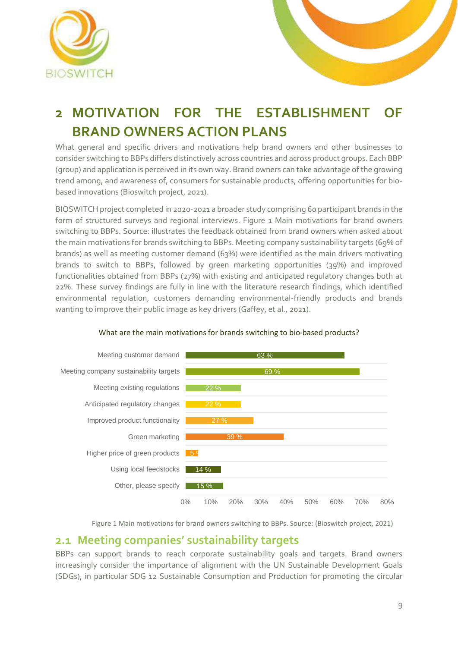



# <span id="page-8-0"></span>**2 MOTIVATION FOR THE ESTABLISHMENT OF BRAND OWNERS ACTION PLANS**

What general and specific drivers and motivations help brand owners and other businesses to consider switching to BBPs differs distinctively across countries and across product groups. Each BBP (group) and application is perceived in its own way. Brand owners can take advantage of the growing trend among, and awareness of, consumers for sustainable products, offering opportunities for biobased innovations (Bioswitch project, 2021).

BIOSWITCH project completed in 2020-2021 a broader study comprising 60 participant brands in the form of structured surveys and regional interviews. Figure 1 Main motivations for brand owners [switching to BBPs. Source: i](#page-8-2)llustrates the feedback obtained from brand owners when asked about the main motivations for brands switching to BBPs. Meeting company sustainability targets (69% of brands) as well as meeting customer demand (63%) were identified as the main drivers motivating brands to switch to BBPs, followed by green marketing opportunities (39%) and improved functionalities obtained from BBPs (27%) with existing and anticipated regulatory changes both at 22%. These survey findings are fully in line with the literature research findings, which identified environmental regulation, customers demanding environmental-friendly products and brands wanting to improve their public image as key drivers (Gaffey, et al., 2021).



### What are the main motivations for brands switching to bio-based products?

Figure 1 Main motivations for brand owners switching to BBPs. Source: (Bioswitch project, 2021)

### <span id="page-8-2"></span><span id="page-8-1"></span>**2.1 Meeting companies' sustainability targets**

BBPs can support brands to reach corporate sustainability goals and targets. Brand owners increasingly consider the importance of alignment with the UN Sustainable Development Goals (SDGs), in particular SDG 12 Sustainable Consumption and Production for promoting the circular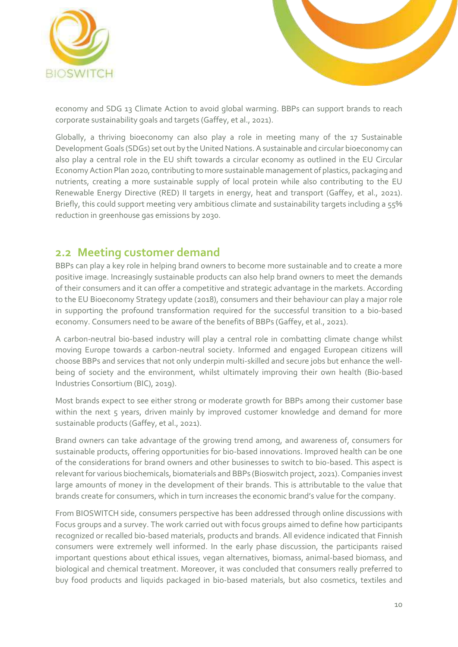



economy and SDG 13 Climate Action to avoid global warming. BBPs can support brands to reach corporate sustainability goals and targets (Gaffey, et al., 2021).

Globally, a thriving bioeconomy can also play a role in meeting many of the 17 Sustainable Development Goals (SDGs) set out by the United Nations. A sustainable and circular bioeconomy can also play a central role in the EU shift towards a circular economy as outlined in the EU Circular Economy Action Plan 2020, contributing to more sustainable management of plastics, packaging and nutrients, creating a more sustainable supply of local protein while also contributing to the EU Renewable Energy Directive (RED) II targets in energy, heat and transport (Gaffey, et al., 2021). Briefly, this could support meeting very ambitious climate and sustainability targets including a 55% reduction in greenhouse gas emissions by 2030.

### <span id="page-9-0"></span>**2.2 Meeting customer demand**

BBPs can play a key role in helping brand owners to become more sustainable and to create a more positive image. Increasingly sustainable products can also help brand owners to meet the demands of their consumers and it can offer a competitive and strategic advantage in the markets. According to the EU Bioeconomy Strategy update (2018), consumers and their behaviour can play a major role in supporting the profound transformation required for the successful transition to a bio‐based economy. Consumers need to be aware of the benefits of BBPs (Gaffey, et al., 2021).

A carbon-neutral bio-based industry will play a central role in combatting climate change whilst moving Europe towards a carbon-neutral society. Informed and engaged European citizens will choose BBPs and services that not only underpin multi-skilled and secure jobs but enhance the wellbeing of society and the environment, whilst ultimately improving their own health (Bio-based Industries Consortium (BIC), 2019).

Most brands expect to see either strong or moderate growth for BBPs among their customer base within the next 5 years, driven mainly by improved customer knowledge and demand for more sustainable products (Gaffey, et al., 2021).

Brand owners can take advantage of the growing trend among, and awareness of, consumers for sustainable products, offering opportunities for bio-based innovations. Improved health can be one of the considerations for brand owners and other businesses to switch to bio-based. This aspect is relevant for various biochemicals, biomaterials and BBPs (Bioswitch project, 2021). Companies invest large amounts of money in the development of their brands. This is attributable to the value that brands create for consumers, which in turn increases the economic brand's value for the company.

From BIOSWITCH side, consumers perspective has been addressed through online discussions with Focus groups and a survey. The work carried out with focus groups aimed to define how participants recognized or recalled bio-based materials, products and brands. All evidence indicated that Finnish consumers were extremely well informed. In the early phase discussion, the participants raised important questions about ethical issues, vegan alternatives, biomass, animal-based biomass, and biological and chemical treatment. Moreover, it was concluded that consumers really preferred to buy food products and liquids packaged in bio-based materials, but also cosmetics, textiles and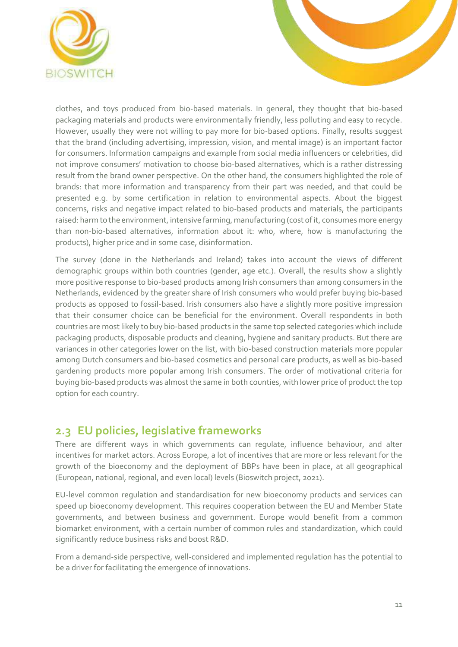

clothes, and toys produced from bio-based materials. In general, they thought that bio-based packaging materials and products were environmentally friendly, less polluting and easy to recycle. However, usually they were not willing to pay more for bio-based options. Finally, results suggest that the brand (including advertising, impression, vision, and mental image) is an important factor for consumers. Information campaigns and example from social media influencers or celebrities, did not improve consumers' motivation to choose bio-based alternatives, which is a rather distressing result from the brand owner perspective. On the other hand, the consumers highlighted the role of brands: that more information and transparency from their part was needed, and that could be presented e.g. by some certification in relation to environmental aspects. About the biggest concerns, risks and negative impact related to bio-based products and materials, the participants raised: harm to the environment, intensive farming, manufacturing (cost of it, consumes more energy than non-bio-based alternatives, information about it: who, where, how is manufacturing the products), higher price and in some case, disinformation.

The survey (done in the Netherlands and Ireland) takes into account the views of different demographic groups within both countries (gender, age etc.). Overall, the results show a slightly more positive response to bio-based products among Irish consumers than among consumers in the Netherlands, evidenced by the greater share of Irish consumers who would prefer buying bio-based products as opposed to fossil-based. Irish consumers also have a slightly more positive impression that their consumer choice can be beneficial for the environment. Overall respondents in both countries are most likely to buy bio-based products in the same top selected categories which include packaging products, disposable products and cleaning, hygiene and sanitary products. But there are variances in other categories lower on the list, with bio-based construction materials more popular among Dutch consumers and bio-based cosmetics and personal care products, as well as bio-based gardening products more popular among Irish consumers. The order of motivational criteria for buying bio-based products was almost the same in both counties, with lower price of product the top option for each country.

### <span id="page-10-0"></span>**2.3 EU policies, legislative frameworks**

There are different ways in which governments can regulate, influence behaviour, and alter incentives for market actors. Across Europe, a lot of incentives that are more or less relevant for the growth of the bioeconomy and the deployment of BBPs have been in place, at all geographical (European, national, regional, and even local) levels (Bioswitch project, 2021).

EU-level common regulation and standardisation for new bioeconomy products and services can speed up bioeconomy development. This requires cooperation between the EU and Member State governments, and between business and government. Europe would benefit from a common biomarket environment, with a certain number of common rules and standardization, which could significantly reduce business risks and boost R&D.

From a demand-side perspective, well-considered and implemented regulation has the potential to be a driver for facilitating the emergence of innovations.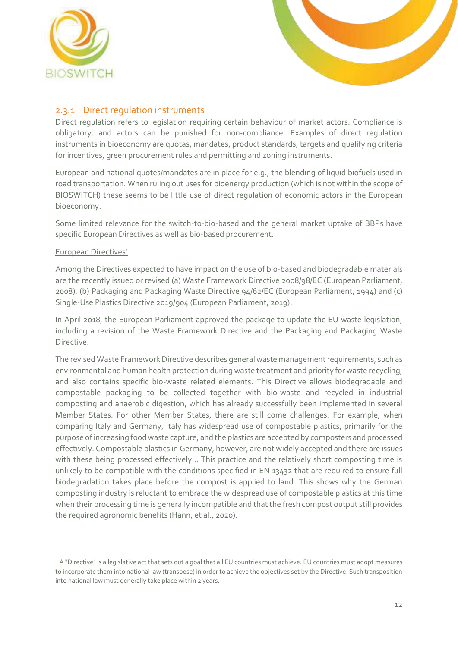



### <span id="page-11-0"></span>2.3.1 Direct regulation instruments

Direct regulation refers to legislation requiring certain behaviour of market actors. Compliance is obligatory, and actors can be punished for non-compliance. Examples of direct regulation instruments in bioeconomy are quotas, mandates, product standards, targets and qualifying criteria for incentives, green procurement rules and permitting and zoning instruments.

European and national quotes/mandates are in place for e.g., the blending of liquid biofuels used in road transportation. When ruling out uses for bioenergy production (which is not within the scope of BIOSWITCH) these seems to be little use of direct regulation of economic actors in the European bioeconomy.

Some limited relevance for the switch-to-bio-based and the general market uptake of BBPs have specific European Directives as well as bio-based procurement.

### European Directives<sup>1</sup>

Among the Directives expected to have impact on the use of bio-based and biodegradable materials are the recently issued or revised (a) Waste Framework Directive 2008/98/EC (European Parliament, 2008), (b) Packaging and Packaging Waste Directive 94/62/EC (European Parliament, 1994) and (c) Single-Use Plastics Directive 2019/904 (European Parliament, 2019).

In April 2018, the European Parliament approved the package to update the EU waste legislation, including a revision of the Waste Framework Directive and the Packaging and Packaging Waste **Directive** 

The revised Waste Framework Directive describes general waste management requirements, such as environmental and human health protection during waste treatment and priority for waste recycling, and also contains specific bio-waste related elements. This Directive allows biodegradable and compostable packaging to be collected together with bio-waste and recycled in industrial composting and anaerobic digestion, which has already successfully been implemented in several Member States. For other Member States, there are still come challenges. For example, when comparing Italy and Germany, Italy has widespread use of compostable plastics, primarily for the purpose of increasing food waste capture, and the plastics are accepted by composters and processed effectively. Compostable plastics in Germany, however, are not widely accepted and there are issues with these being processed effectively… This practice and the relatively short composting time is unlikely to be compatible with the conditions specified in EN 13432 that are required to ensure full biodegradation takes place before the compost is applied to land. This shows why the German composting industry is reluctant to embrace the widespread use of compostable plastics at this time when their processing time is generally incompatible and that the fresh compost output still provides the required agronomic benefits (Hann, et al., 2020).

 $1$  A "Directive" is a legislative act that sets out a goal that all EU countries must achieve. EU countries must adopt measures to incorporate them into national law (transpose) in order to achieve the objectives set by the Directive. Such transposition into national law must generally take place within 2 years.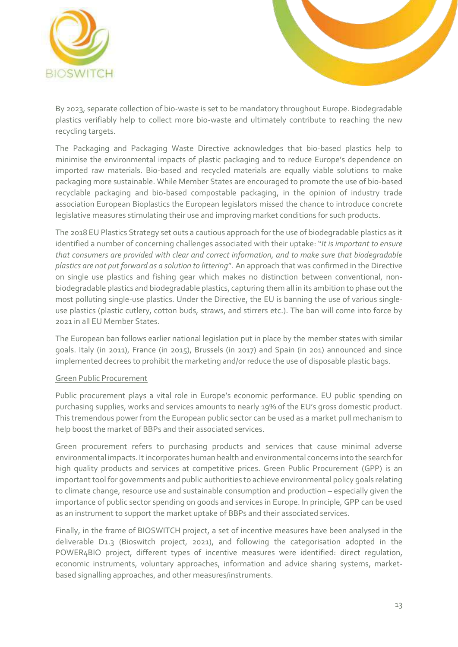



By 2023, separate collection of bio-waste is set to be mandatory throughout Europe. Biodegradable plastics verifiably help to collect more bio-waste and ultimately contribute to reaching the new recycling targets.

The Packaging and Packaging Waste Directive acknowledges that bio-based plastics help to minimise the environmental impacts of plastic packaging and to reduce Europe's dependence on imported raw materials. Bio-based and recycled materials are equally viable solutions to make packaging more sustainable. While Member States are encouraged to promote the use of bio-based recyclable packaging and bio-based compostable packaging, in the opinion of industry trade association European Bioplastics the European legislators missed the chance to introduce concrete legislative measures stimulating their use and improving market conditions for such products.

The 2018 EU Plastics Strategy set outs a cautious approach for the use of biodegradable plastics as it identified a number of concerning challenges associated with their uptake: "*It is important to ensure that consumers are provided with clear and correct information, and to make sure that biodegradable plastics are not put forward as a solution to littering*". An approach that was confirmed in the Directive on single use plastics and fishing gear which makes no distinction between conventional, nonbiodegradable plastics and biodegradable plastics, capturing them all in its ambition to phase out the most polluting single-use plastics. Under the Directive, the EU is banning the use of various singleuse plastics (plastic cutlery, cotton buds, straws, and stirrers etc.). The ban will come into force by 2021 in all EU Member States.

The European ban follows earlier national legislation put in place by the member states with similar goals. Italy (in 2011), France (in 2015), Brussels (in 2017) and Spain (in 201) announced and since implemented decrees to prohibit the marketing and/or reduce the use of disposable plastic bags.

#### Green Public Procurement

Public procurement plays a vital role in Europe's economic performance. EU public spending on purchasing supplies, works and services amounts to nearly 19% of the EU's gross domestic product. This tremendous power from the European public sector can be used as a market pull mechanism to help boost the market of BBPs and their associated services.

Green procurement refers to purchasing products and services that cause minimal adverse environmental impacts. It incorporates human health and environmental concerns into the search for high quality products and services at competitive prices. Green Public Procurement (GPP) is an important tool for governments and public authorities to achieve environmental policy goals relating to climate change, resource use and sustainable consumption and production – especially given the importance of public sector spending on goods and services in Europe. In principle, GPP can be used as an instrument to support the market uptake of BBPs and their associated services.

Finally, in the frame of BIOSWITCH project, a set of incentive measures have been analysed in the deliverable D1.3 (Bioswitch project, 2021), and following the categorisation adopted in the POWER4BIO project, different types of incentive measures were identified: direct regulation, economic instruments, voluntary approaches, information and advice sharing systems, marketbased signalling approaches, and other measures/instruments.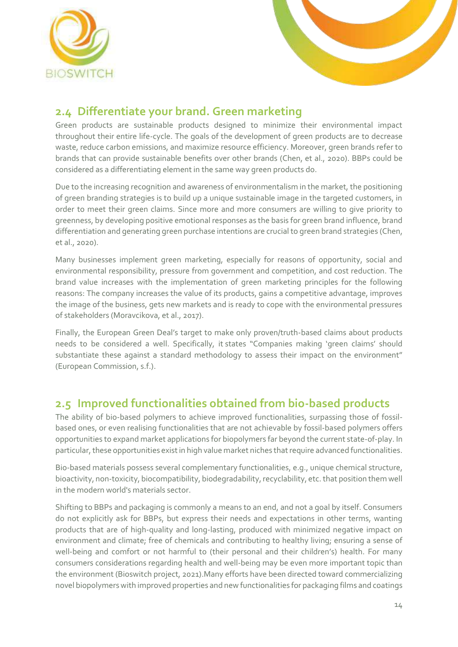



### <span id="page-13-0"></span>**2.4 Differentiate your brand. Green marketing**

Green products are sustainable products designed to minimize their environmental impact throughout their entire life-cycle. The goals of the development of green products are to decrease waste, reduce carbon emissions, and maximize resource efficiency. Moreover, green brands refer to brands that can provide sustainable benefits over other brands (Chen, et al., 2020). BBPs could be considered as a differentiating element in the same way green products do.

Due to the increasing recognition and awareness of environmentalism in the market, the positioning of green branding strategies is to build up a unique sustainable image in the targeted customers, in order to meet their green claims. Since more and more consumers are willing to give priority to greenness, by developing positive emotional responses as the basis for green brand influence, brand differentiation and generating green purchase intentions are crucial to green brand strategies (Chen, et al., 2020).

Many businesses implement green marketing, especially for reasons of opportunity, social and environmental responsibility, pressure from government and competition, and cost reduction. The brand value increases with the implementation of green marketing principles for the following reasons: The company increases the value of its products, gains a competitive advantage, improves the image of the business, gets new markets and is ready to cope with the environmental pressures of stakeholders (Moravcikova, et al., 2017).

Finally, the European Green Deal's target to make only proven/truth-based claims about products needs to be considered a well. Specifically, [it](https://ec.europa.eu/info/strategy/priorities-2019-2024/european-green-deal_en) states "Companies making 'green claims' should substantiate these against a standard methodology to assess their impact on the environment" (European Commission, s.f.).

### <span id="page-13-1"></span>**2.5 Improved functionalities obtained from bio-based products**

The ability of bio-based polymers to achieve improved functionalities, surpassing those of fossilbased ones, or even realising functionalities that are not achievable by fossil-based polymers offers opportunities to expand market applications for biopolymers far beyond the current state-of-play. In particular, these opportunities exist in high value market niches that require advanced functionalities.

Bio-based materials possess several complementary functionalities, e.g., unique chemical structure, bioactivity, non-toxicity, biocompatibility, biodegradability, recyclability, etc. that position them well in the modern world's materials sector.

Shifting to BBPs and packaging is commonly a means to an end, and not a goal by itself. Consumers do not explicitly ask for BBPs, but express their needs and expectations in other terms, wanting products that are of high-quality and long-lasting, produced with minimized negative impact on environment and climate; free of chemicals and contributing to healthy living; ensuring a sense of well-being and comfort or not harmful to (their personal and their children's) health. For many consumers considerations regarding health and well-being may be even more important topic than the environment (Bioswitch project, 2021).Many efforts have been directed toward commercializing novel biopolymers with improved properties and new functionalities for packaging films and coatings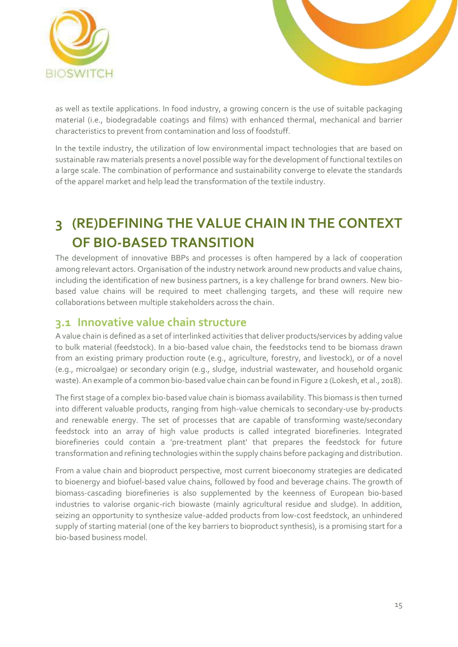



as well as textile applications. In food industry, a growing concern is the use of suitable packaging material (i.e., biodegradable coatings and films) with enhanced thermal, mechanical and barrier characteristics to prevent from contamination and loss of foodstuff.

In the textile industry, the utilization of low environmental impact technologies that are based on sustainable raw materials presents a novel possible way for the development of functional textiles on a large scale. The combination of performance and sustainability converge to elevate the standards of the apparel market and help lead the transformation of the textile industry.

# <span id="page-14-0"></span>**3 (RE)DEFINING THE VALUE CHAIN IN THE CONTEXT OF BIO-BASED TRANSITION**

The development of innovative BBPs and processes is often hampered by a lack of cooperation among relevant actors. Organisation of the industry network around new products and value chains, including the identification of new business partners, is a key challenge for brand owners. New biobased value chains will be required to meet challenging targets, and these will require new collaborations between multiple stakeholders across the chain.

### <span id="page-14-1"></span>**3.1 Innovative value chain structure**

A value chain is defined as a set of interlinked activities that deliver products/services by adding value to bulk material (feedstock). In a bio-based value chain, the feedstocks tend to be biomass drawn from an existing primary production route (e.g., agriculture, forestry, and livestock), or of a novel (e.g., microalgae) or secondary origin (e.g., sludge, industrial wastewater, and household organic waste). An example of a common bio-based value chain can be found in Figure 2 (Lokesh, et al., 2018).

The first stage of a complex bio-based value chain is biomass availability. This biomass is then turned into different valuable products, ranging from high-value chemicals to secondary-use by-products and renewable energy. The set of processes that are capable of transforming waste/secondary feedstock into an array of high value products is called integrated biorefineries. Integrated biorefineries could contain a 'pre-treatment plant' that prepares the feedstock for future transformation and refining technologies within the supply chains before packaging and distribution.

From a value chain and bioproduct perspective, most current bioeconomy strategies are dedicated to bioenergy and biofuel-based value chains, followed by food and beverage chains. The growth of biomass-cascading biorefineries is also supplemented by the keenness of European bio-based industries to valorise organic-rich biowaste (mainly agricultural residue and sludge). In addition, seizing an opportunity to synthesize value-added products from low-cost feedstock, an unhindered supply of starting material (one of the key barriers to bioproduct synthesis), is a promising start for a bio-based business model.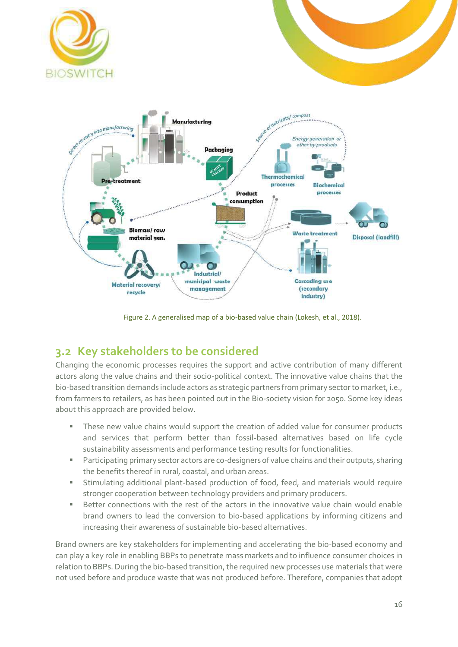





Figure 2. A generalised map of a bio-based value chain (Lokesh, et al., 2018).

### <span id="page-15-1"></span><span id="page-15-0"></span>**3.2 Key stakeholders to be considered**

Changing the economic processes requires the support and active contribution of many different actors along the value chains and their socio-political context. The innovative value chains that the bio-based transition demands include actors as strategic partners from primary sector to market, i.e., from farmers to retailers, as has been pointed out in the Bio-society vision for 2050. Some key ideas about this approach are provided below.

- These new value chains would support the creation of added value for consumer products and services that perform better than fossil-based alternatives based on life cycle sustainability assessments and performance testing results for functionalities.
- Participating primary sector actors are co-designers of value chains and their outputs, sharing the benefits thereof in rural, coastal, and urban areas.
- Stimulating additional plant-based production of food, feed, and materials would require stronger cooperation between technology providers and primary producers.
- Better connections with the rest of the actors in the innovative value chain would enable brand owners to lead the conversion to bio-based applications by informing citizens and increasing their awareness of sustainable bio-based alternatives.

Brand owners are key stakeholders for implementing and accelerating the bio-based economy and can play a key role in enabling BBPs to penetrate mass markets and to influence consumer choices in relation to BBPs. During the bio-based transition, the required new processes use materials that were not used before and produce waste that was not produced before. Therefore, companies that adopt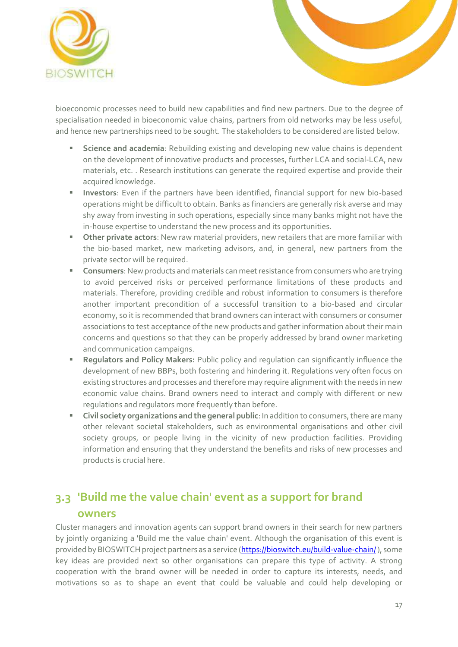



bioeconomic processes need to build new capabilities and find new partners. Due to the degree of specialisation needed in bioeconomic value chains, partners from old networks may be less useful, and hence new partnerships need to be sought. The stakeholders to be considered are listed below.

- **EXEDENCE 8 20 Science and academia:** Rebuilding existing and developing new value chains is dependent on the development of innovative products and processes, further LCA and social-LCA, new materials, etc. . Research institutions can generate the required expertise and provide their acquired knowledge.
- **Investors**: Even if the partners have been identified, financial support for new bio-based operations might be difficult to obtain. Banks as financiers are generally risk averse and may shy away from investing in such operations, especially since many banks might not have the in-house expertise to understand the new process and its opportunities.
- **E** Other private actors: New raw material providers, new retailers that are more familiar with the bio-based market, new marketing advisors, and, in general, new partners from the private sector will be required.
- Consumers: New products and materials can meet resistance from consumers who are trying to avoid perceived risks or perceived performance limitations of these products and materials. Therefore, providing credible and robust information to consumers is therefore another important precondition of a successful transition to a bio-based and circular economy, so it is recommended that brand owners can interact with consumers or consumer associations to test acceptance of the new products and gather information about their main concerns and questions so that they can be properly addressed by brand owner marketing and communication campaigns.
- **Regulators and Policy Makers:** Public policy and regulation can significantly influence the development of new BBPs, both fostering and hindering it. Regulations very often focus on existing structures and processes and therefore may require alignment with the needs in new economic value chains. Brand owners need to interact and comply with different or new regulations and regulators more frequently than before.
- **Civil society organizations and the general public**: In addition to consumers, there are many other relevant societal stakeholders, such as environmental organisations and other civil society groups, or people living in the vicinity of new production facilities. Providing information and ensuring that they understand the benefits and risks of new processes and products is crucial here.

### <span id="page-16-0"></span>**3.3 'Build me the value chain' event as a support for brand owners**

Cluster managers and innovation agents can support brand owners in their search for new partners by jointly organizing a 'Build me the value chain' event. Although the organisation of this event is provided by BIOSWITCH project partners as a service [\(https://bioswitch.eu/build-value-chain/\)](https://bioswitch.eu/build-value-chain/), some key ideas are provided next so other organisations can prepare this type of activity. A strong cooperation with the brand owner will be needed in order to capture its interests, needs, and motivations so as to shape an event that could be valuable and could help developing or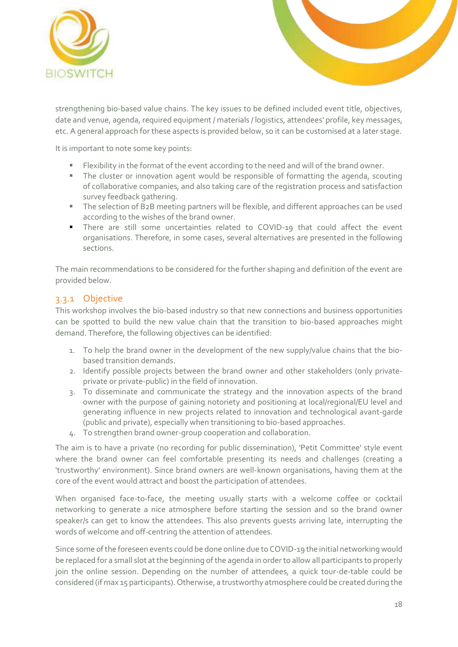



strengthening bio-based value chains. The key issues to be defined included event title, objectives, date and venue, agenda, required equipment / materials / logistics, attendees' profile, key messages, etc. A general approach for these aspects is provided below, so it can be customised at a later stage.

It is important to note some key points:

- Flexibility in the format of the event according to the need and will of the brand owner.
- The cluster or innovation agent would be responsible of formatting the agenda, scouting of collaborative companies, and also taking care of the registration process and satisfaction survey feedback gathering.
- The selection of B2B meeting partners will be flexible, and different approaches can be used according to the wishes of the brand owner.
- **There are still some uncertainties related to COVID-19 that could affect the event** organisations. Therefore, in some cases, several alternatives are presented in the following sections.

The main recommendations to be considered for the further shaping and definition of the event are provided below.

### <span id="page-17-0"></span>3.3.1 Objective

This workshop involves the bio-based industry so that new connections and business opportunities can be spotted to build the new value chain that the transition to bio-based approaches might demand. Therefore, the following objectives can be identified:

- 1. To help the brand owner in the development of the new supply/value chains that the biobased transition demands.
- 2. Identify possible projects between the brand owner and other stakeholders (only privateprivate or private-public) in the field of innovation.
- 3. To disseminate and communicate the strategy and the innovation aspects of the brand owner with the purpose of gaining notoriety and positioning at local/regional/EU level and generating influence in new projects related to innovation and technological avant-garde (public and private), especially when transitioning to bio-based approaches.
- 4. To strengthen brand owner-group cooperation and collaboration.

The aim is to have a private (no recording for public dissemination), 'Petit Committee' style event where the brand owner can feel comfortable presenting its needs and challenges (creating a 'trustworthy' environment). Since brand owners are well-known organisations, having them at the core of the event would attract and boost the participation of attendees.

When organised face-to-face, the meeting usually starts with a welcome coffee or cocktail networking to generate a nice atmosphere before starting the session and so the brand owner speaker/s can get to know the attendees. This also prevents guests arriving late, interrupting the words of welcome and off-centring the attention of attendees.

Since some of the foreseen events could be done online due to COVID-19 the initial networking would be replaced for a small slot at the beginning of the agenda in order to allow all participants to properly join the online session. Depending on the number of attendees, a quick tour-de-table could be considered (if max 15 participants). Otherwise, a trustworthy atmosphere could be created during the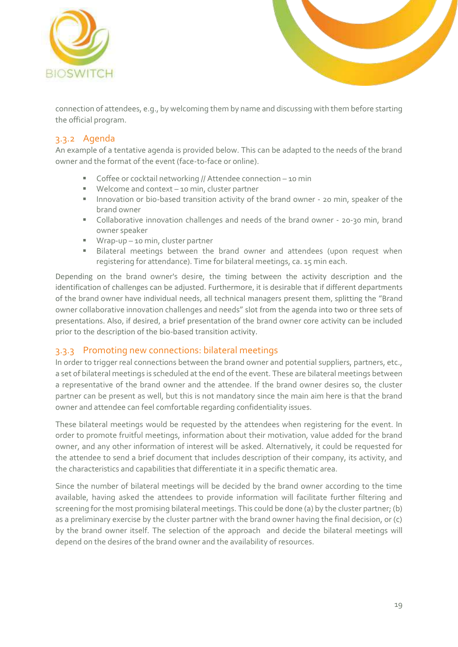



connection of attendees, e.g., by welcoming them by name and discussing with them before starting the official program.

### <span id="page-18-0"></span>3.3.2 Agenda

An example of a tentative agenda is provided below. This can be adapted to the needs of the brand owner and the format of the event (face-to-face or online).

- Coffee or cocktail networking // Attendee connection 10 min
- Welcome and context 10 min, cluster partner
- Innovation or bio-based transition activity of the brand owner 20 min, speaker of the brand owner
- Collaborative innovation challenges and needs of the brand owner 20-30 min, brand owner speaker
- Wrap-up 10 min, cluster partner
- **E** Bilateral meetings between the brand owner and attendees (upon request when registering for attendance). Time for bilateral meetings, ca. 15 min each.

Depending on the brand owner's desire, the timing between the activity description and the identification of challenges can be adjusted. Furthermore, it is desirable that if different departments of the brand owner have individual needs, all technical managers present them, splitting the "Brand owner collaborative innovation challenges and needs" slot from the agenda into two or three sets of presentations. Also, if desired, a brief presentation of the brand owner core activity can be included prior to the description of the bio-based transition activity.

### <span id="page-18-1"></span>3.3.3 Promoting new connections: bilateral meetings

In order to trigger real connections between the brand owner and potential suppliers, partners, etc., a set of bilateral meetings is scheduled at the end of the event. These are bilateral meetings between a representative of the brand owner and the attendee. If the brand owner desires so, the cluster partner can be present as well, but this is not mandatory since the main aim here is that the brand owner and attendee can feel comfortable regarding confidentiality issues.

These bilateral meetings would be requested by the attendees when registering for the event. In order to promote fruitful meetings, information about their motivation, value added for the brand owner, and any other information of interest will be asked. Alternatively, it could be requested for the attendee to send a brief document that includes description of their company, its activity, and the characteristics and capabilities that differentiate it in a specific thematic area.

Since the number of bilateral meetings will be decided by the brand owner according to the time available, having asked the attendees to provide information will facilitate further filtering and screening for the most promising bilateral meetings. This could be done (a) by the cluster partner; (b) as a preliminary exercise by the cluster partner with the brand owner having the final decision, or (c) by the brand owner itself. The selection of the approach and decide the bilateral meetings will depend on the desires of the brand owner and the availability of resources.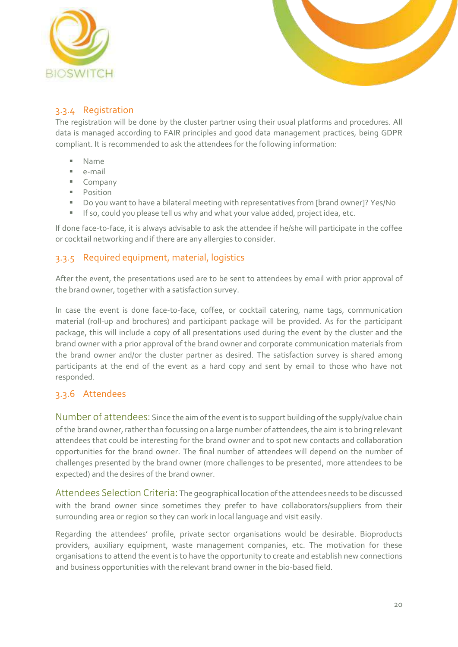



### <span id="page-19-0"></span>3.3.4 Registration

The registration will be done by the cluster partner using their usual platforms and procedures. All data is managed according to FAIR principles and good data management practices, being GDPR compliant. It is recommended to ask the attendees for the following information:

- Name
- e-mail
- Company
- Position
- Do you want to have a bilateral meeting with representatives from [brand owner]? Yes/No
- **E** If so, could you please tell us why and what your value added, project idea, etc.

If done face-to-face, it is always advisable to ask the attendee if he/she will participate in the coffee or cocktail networking and if there are any allergies to consider.

### <span id="page-19-1"></span>3.3.5 Required equipment, material, logistics

After the event, the presentations used are to be sent to attendees by email with prior approval of the brand owner, together with a satisfaction survey.

In case the event is done face-to-face, coffee, or cocktail catering, name tags, communication material (roll-up and brochures) and participant package will be provided. As for the participant package, this will include a copy of all presentations used during the event by the cluster and the brand owner with a prior approval of the brand owner and corporate communication materials from the brand owner and/or the cluster partner as desired. The satisfaction survey is shared among participants at the end of the event as a hard copy and sent by email to those who have not responded.

### <span id="page-19-2"></span>3.3.6 Attendees

Number of attendees: Since the aim of the event is to support building of the supply/value chain of the brand owner, rather than focussing on a large number of attendees, the aim is to bring relevant attendees that could be interesting for the brand owner and to spot new contacts and collaboration opportunities for the brand owner. The final number of attendees will depend on the number of challenges presented by the brand owner (more challenges to be presented, more attendees to be expected) and the desires of the brand owner.

Attendees Selection Criteria: The geographical location of the attendees needs to be discussed with the brand owner since sometimes they prefer to have collaborators/suppliers from their surrounding area or region so they can work in local language and visit easily.

Regarding the attendees' profile, private sector organisations would be desirable. Bioproducts providers, auxiliary equipment, waste management companies, etc. The motivation for these organisations to attend the event is to have the opportunity to create and establish new connections and business opportunities with the relevant brand owner in the bio-based field.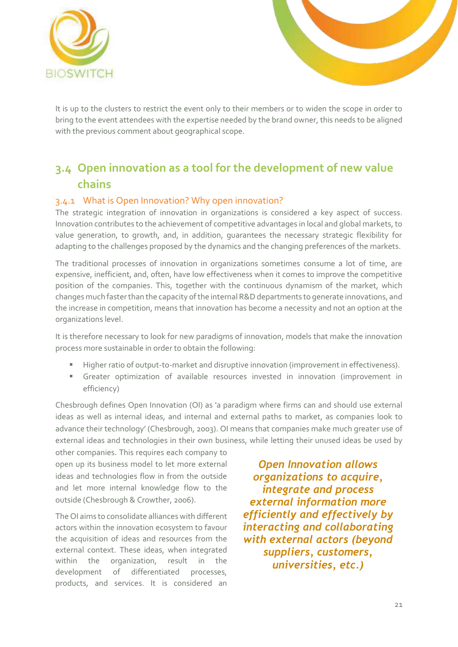



It is up to the clusters to restrict the event only to their members or to widen the scope in order to bring to the event attendees with the expertise needed by the brand owner, this needs to be aligned with the previous comment about geographical scope.

### <span id="page-20-0"></span>**3.4 Open innovation as a tool for the development of new value chains**

### <span id="page-20-1"></span>3.4.1 What is Open Innovation? Why open innovation?

The strategic integration of innovation in organizations is considered a key aspect of success. Innovation contributes to the achievement of competitive advantages in local and global markets, to value generation, to growth, and, in addition, guarantees the necessary strategic flexibility for adapting to the challenges proposed by the dynamics and the changing preferences of the markets.

The traditional processes of innovation in organizations sometimes consume a lot of time, are expensive, inefficient, and, often, have low effectiveness when it comes to improve the competitive position of the companies. This, together with the continuous dynamism of the market, which changes much faster than the capacity of the internal R&D departments to generate innovations, and the increase in competition, means that innovation has become a necessity and not an option at the organizations level.

It is therefore necessary to look for new paradigms of innovation, models that make the innovation process more sustainable in order to obtain the following:

- Higher ratio of output-to-market and disruptive innovation (improvement in effectiveness).
- **E** Greater optimization of available resources invested in innovation (improvement in efficiency)

Chesbrough defines Open Innovation (OI) as 'a paradigm where firms can and should use external ideas as well as internal ideas, and internal and external paths to market, as companies look to advance their technology' (Chesbrough, 2003). OI means that companies make much greater use of external ideas and technologies in their own business, while letting their unused ideas be used by

other companies. This requires each company to open up its business model to let more external ideas and technologies flow in from the outside and let more internal knowledge flow to the outside (Chesbrough & Crowther, 2006).

The OI aims to consolidate alliances with different actors within the innovation ecosystem to favour the acquisition of ideas and resources from the external context. These ideas, when integrated within the organization, result in the development of differentiated processes, products, and services. It is considered an

*Open Innovation allows organizations to acquire, integrate and process external information more efficiently and effectively by interacting and collaborating with external actors (beyond suppliers, customers, universities, etc.)*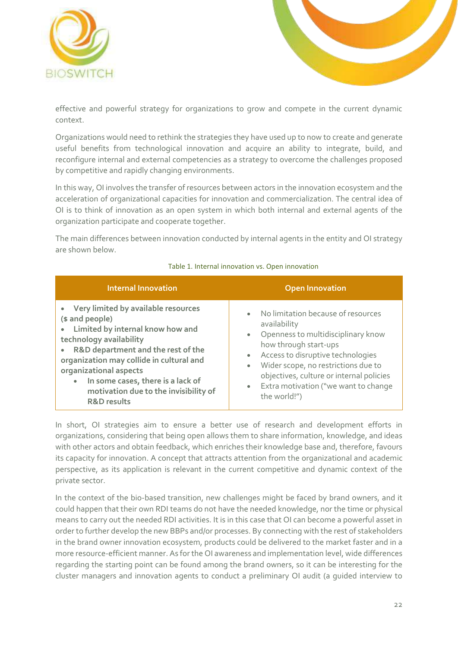



effective and powerful strategy for organizations to grow and compete in the current dynamic context.

Organizations would need to rethink the strategies they have used up to now to create and generate useful benefits from technological innovation and acquire an ability to integrate, build, and reconfigure internal and external competencies as a strategy to overcome the challenges proposed by competitive and rapidly changing environments.

In this way, OI involves the transfer of resources between actors in the innovation ecosystem and the acceleration of organizational capacities for innovation and commercialization. The central idea of OI is to think of innovation as an open system in which both internal and external agents of the organization participate and cooperate together.

The main differences between innovation conducted by internal agents in the entity and OI strategy are shown below.

| <b>Internal Innovation</b>                                                                                                                                                                                                                                                                                                                                 | <b>Open Innovation</b>                                                                                                                                                                                                                                                                                                                                             |
|------------------------------------------------------------------------------------------------------------------------------------------------------------------------------------------------------------------------------------------------------------------------------------------------------------------------------------------------------------|--------------------------------------------------------------------------------------------------------------------------------------------------------------------------------------------------------------------------------------------------------------------------------------------------------------------------------------------------------------------|
| • Very limited by available resources<br>(\$ and people)<br>• Limited by internal know how and<br>technology availability<br>R&D department and the rest of the<br>organization may collide in cultural and<br>organizational aspects<br>In some cases, there is a lack of<br>$\bullet$<br>motivation due to the invisibility of<br><b>R&amp;D results</b> | No limitation because of resources<br>$\bullet$<br>availability<br>Openness to multidisciplinary know<br>$\bullet$<br>how through start-ups<br>Access to disruptive technologies<br>$\bullet$<br>Wider scope, no restrictions due to<br>$\bullet$<br>objectives, culture or internal policies<br>Extra motivation ("we want to change<br>$\bullet$<br>the world!") |

#### <span id="page-21-0"></span>Table 1. Internal innovation vs. Open innovation

In short, OI strategies aim to ensure a better use of research and development efforts in organizations, considering that being open allows them to share information, knowledge, and ideas with other actors and obtain feedback, which enriches their knowledge base and, therefore, favours its capacity for innovation. A concept that attracts attention from the organizational and academic perspective, as its application is relevant in the current competitive and dynamic context of the private sector.

In the context of the bio-based transition, new challenges might be faced by brand owners, and it could happen that their own RDI teams do not have the needed knowledge, nor the time or physical means to carry out the needed RDI activities. It is in this case that OI can become a powerful asset in order to further develop the new BBPs and/or processes. By connecting with the rest of stakeholders in the brand owner innovation ecosystem, products could be delivered to the market faster and in a more resource-efficient manner. As for the OI awareness and implementation level, wide differences regarding the starting point can be found among the brand owners, so it can be interesting for the cluster managers and innovation agents to conduct a preliminary OI audit (a guided interview to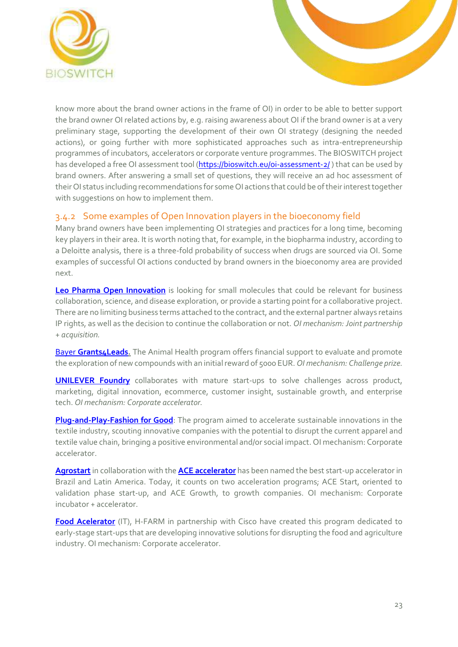

know more about the brand owner actions in the frame of OI) in order to be able to better support the brand owner OI related actions by, e.g. raising awareness about OI if the brand owner is at a very preliminary stage, supporting the development of their own OI strategy (designing the needed actions), or going further with more sophisticated approaches such as intra-entrepreneurship programmes of incubators, accelerators or corporate venture programmes. The BIOSWITCH project has developed a free OI assessment tool [\(https://bioswitch.eu/oi-assessment-2/](https://bioswitch.eu/oi-assessment-2/)) that can be used by brand owners. After answering a small set of questions, they will receive an ad hoc assessment of their OI status including recommendations for some OI actions that could be of their interest together with suggestions on how to implement them.

### <span id="page-22-0"></span>3.4.2 Some examples of Open Innovation players in the bioeconomy field

Many brand owners have been implementing OI strategies and practices for a long time, becoming key players in their area. It is worth noting that, for example, in the biopharma industry, according to a Deloitte analysis, there is a three-fold probability of success when drugs are sourced via OI. Some examples of successful OI actions conducted by brand owners in the bioeconomy area are provided next.

**[Leo Pharma Open Innovation](http://openinnovation.leo-pharma.com/)** is looking for small molecules that could be relevant for business collaboration, science, and disease exploration, or provide a starting point for a collaborative project. There are no limiting business terms attached to the contract, and the external partner always retains IP rights, as well as the decision to continue the collaboration or not. *OI mechanism: Joint partnership + acquisition.*

**Bayer [Grants4Leads.](https://innovate.bayer.com/what-we-offer/grants4leads/)** The Animal Health program offers financial support to evaluate and promote the exploration of new compounds with an initial reward of 5000 EUR.*OI mechanism: Challenge prize.*

**[UNILEVER Foundry](https://foundry.unilever.com/about-us)** collaborates with mature start-ups to solve challenges across product, marketing, digital innovation, ecommerce, customer insight, sustainable growth, and enterprise tech. *OI mechanism: Corporate accelerator.*

**[Plug-and-Play-Fashion for Good](http://fashionforgood.plugandplaytechcenter.com/)**: The program aimed to accelerate sustainable innovations in the textile industry, scouting innovative companies with the potential to disrupt the current apparel and textile value chain, bringing a positive environmental and/or social impact. OI mechanism: Corporate accelerator.

**[Agrostart](http://www.agrostart.basf.com/en/index.shtml)**in collaboration with the **[ACE accelerator](https://acestartups.com.br/eng/)** has been named the best start-up accelerator in Brazil and Latin America. Today, it counts on two acceleration programs; ACE Start, oriented to validation phase start-up, and ACE Growth, to growth companies. OI mechanism: Corporate incubator + accelerator.

**[Food Acelerator](https://www.h-farm.com/en/acceleration/accelerators/food-accelerator)** (IT), H-FARM in partnership with Cisco have created this program dedicated to early-stage start-ups that are developing innovative solutions for disrupting the food and agriculture industry. OI mechanism: Corporate accelerator.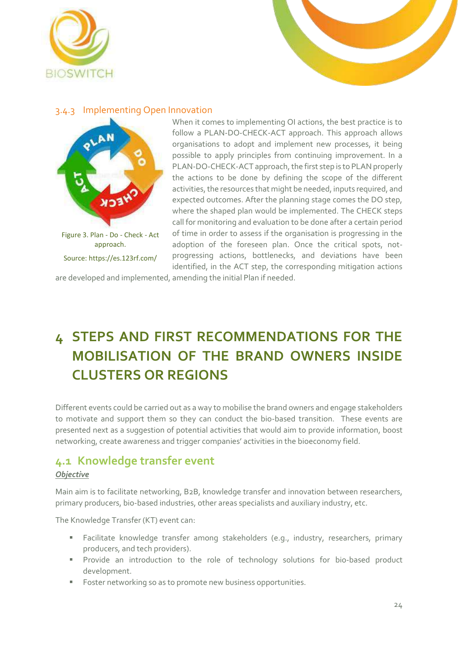



### <span id="page-23-0"></span>3.4.3 Implementing Open Innovation



When it comes to implementing OI actions, the best practice is to follow a PLAN-DO-CHECK-ACT approach. This approach allows organisations to adopt and implement new processes, it being possible to apply principles from continuing improvement. In a PLAN-DO-CHECK-ACT approach, the first step is to PLAN properly the actions to be done by defining the scope of the different activities, the resources that might be needed, inputs required, and expected outcomes. After the planning stage comes the DO step, where the shaped plan would be implemented. The CHECK steps call for monitoring and evaluation to be done after a certain period of time in order to assess if the organisation is progressing in the adoption of the foreseen plan. Once the critical spots, notprogressing actions, bottlenecks, and deviations have been identified, in the ACT step, the corresponding mitigation actions

are developed and implemented, amending the initial Plan if needed.

# <span id="page-23-1"></span>**4 STEPS AND FIRST RECOMMENDATIONS FOR THE MOBILISATION OF THE BRAND OWNERS INSIDE CLUSTERS OR REGIONS**

Different events could be carried out as a way to mobilise the brand owners and engage stakeholders to motivate and support them so they can conduct the bio-based transition. These events are presented next as a suggestion of potential activities that would aim to provide information, boost networking, create awareness and trigger companies' activities in the bioeconomy field.

### <span id="page-23-2"></span>**4.1 Knowledge transfer event**

#### *Objective*

Main aim is to facilitate networking, B2B, knowledge transfer and innovation between researchers, primary producers, bio-based industries, other areas specialists and auxiliary industry, etc.

The Knowledge Transfer (KT) event can:

- Facilitate knowledge transfer among stakeholders (e.g., industry, researchers, primary producers, and tech providers).
- **EXPLO** Provide an introduction to the role of technology solutions for bio-based product development.
- Foster networking so as to promote new business opportunities.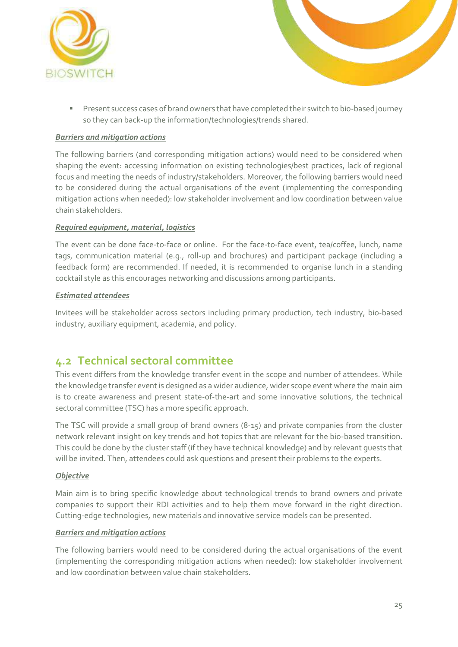



**E** Present success cases of brand owners that have completed their switch to bio-based journey so they can back-up the information/technologies/trends shared.

### *Barriers and mitigation actions*

The following barriers (and corresponding mitigation actions) would need to be considered when shaping the event: accessing information on existing technologies/best practices, lack of regional focus and meeting the needs of industry/stakeholders. Moreover, the following barriers would need to be considered during the actual organisations of the event (implementing the corresponding mitigation actions when needed): low stakeholder involvement and low coordination between value chain stakeholders.

### *Required equipment, material, logistics*

The event can be done face-to-face or online. For the face-to-face event, tea/coffee, lunch, name tags, communication material (e.g., roll-up and brochures) and participant package (including a feedback form) are recommended. If needed, it is recommended to organise lunch in a standing cocktail style as this encourages networking and discussions among participants.

### *Estimated attendees*

Invitees will be stakeholder across sectors including primary production, tech industry, bio-based industry, auxiliary equipment, academia, and policy.

### <span id="page-24-0"></span>**4.2 Technical sectoral committee**

This event differs from the knowledge transfer event in the scope and number of attendees. While the knowledge transfer event is designed as a wider audience, wider scope event where the main aim is to create awareness and present state-of-the-art and some innovative solutions, the technical sectoral committee (TSC) has a more specific approach.

The TSC will provide a small group of brand owners (8-15) and private companies from the cluster network relevant insight on key trends and hot topics that are relevant for the bio-based transition. This could be done by the cluster staff (if they have technical knowledge) and by relevant guests that will be invited. Then, attendees could ask questions and present their problems to the experts.

#### *Objective*

Main aim is to bring specific knowledge about technological trends to brand owners and private companies to support their RDI activities and to help them move forward in the right direction. Cutting-edge technologies, new materials and innovative service models can be presented.

#### *Barriers and mitigation actions*

The following barriers would need to be considered during the actual organisations of the event (implementing the corresponding mitigation actions when needed): low stakeholder involvement and low coordination between value chain stakeholders.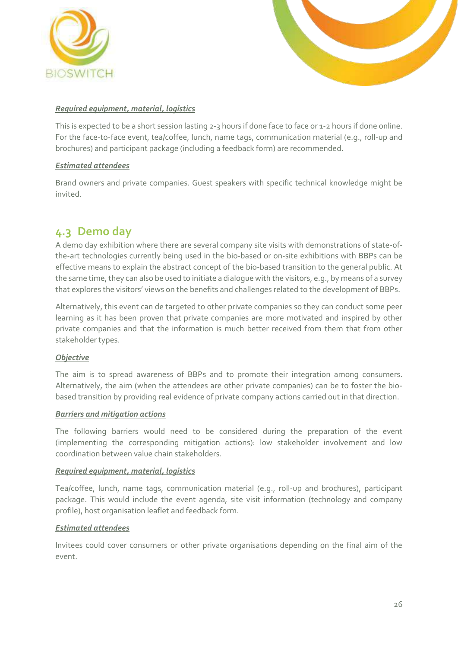



### *Required equipment, material, logistics*

This is expected to be a short session lasting 2-3 hours if done face to face or 1-2 hours if done online. For the face-to-face event, tea/coffee, lunch, name tags, communication material (e.g., roll-up and brochures) and participant package (including a feedback form) are recommended.

### *Estimated attendees*

Brand owners and private companies. Guest speakers with specific technical knowledge might be invited.

### <span id="page-25-0"></span>**4.3 Demo day**

A demo day exhibition where there are several company site visits with demonstrations of state-ofthe-art technologies currently being used in the bio-based or on-site exhibitions with BBPs can be effective means to explain the abstract concept of the bio-based transition to the general public. At the same time, they can also be used to initiate a dialogue with the visitors, e.g., by means of a survey that explores the visitors' views on the benefits and challenges related to the development of BBPs.

Alternatively, this event can de targeted to other private companies so they can conduct some peer learning as it has been proven that private companies are more motivated and inspired by other private companies and that the information is much better received from them that from other stakeholder types.

#### *Objective*

The aim is to spread awareness of BBPs and to promote their integration among consumers. Alternatively, the aim (when the attendees are other private companies) can be to foster the biobased transition by providing real evidence of private company actions carried out in that direction.

#### *Barriers and mitigation actions*

The following barriers would need to be considered during the preparation of the event (implementing the corresponding mitigation actions): low stakeholder involvement and low coordination between value chain stakeholders.

#### *Required equipment, material, logistics*

Tea/coffee, lunch, name tags, communication material (e.g., roll-up and brochures), participant package. This would include the event agenda, site visit information (technology and company profile), host organisation leaflet and feedback form.

### *Estimated attendees*

Invitees could cover consumers or other private organisations depending on the final aim of the event.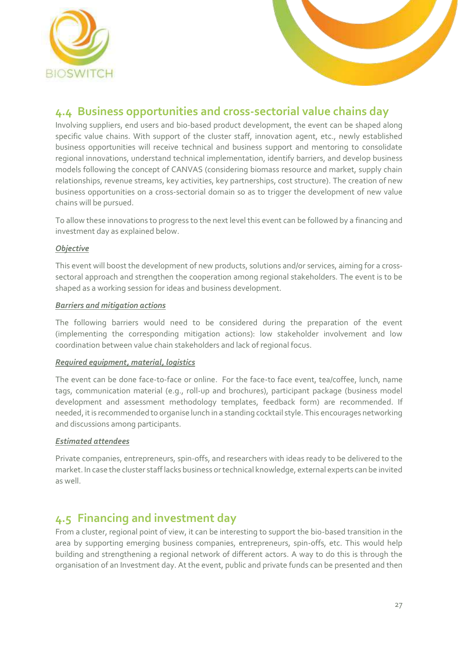

### <span id="page-26-0"></span>**4.4 Business opportunities and cross-sectorial value chains day**

Involving suppliers, end users and bio-based product development, the event can be shaped along specific value chains. With support of the cluster staff, innovation agent, etc., newly established business opportunities will receive technical and business support and mentoring to consolidate regional innovations, understand technical implementation, identify barriers, and develop business models following the concept of CANVAS (considering biomass resource and market, supply chain relationships, revenue streams, key activities, key partnerships, cost structure). The creation of new business opportunities on a cross-sectorial domain so as to trigger the development of new value chains will be pursued.

To allow these innovations to progress to the next level this event can be followed by a financing and investment day as explained below.

### *Objective*

This event will boost the development of new products, solutions and/or services, aiming for a crosssectoral approach and strengthen the cooperation among regional stakeholders. The event is to be shaped as a working session for ideas and business development.

### *Barriers and mitigation actions*

The following barriers would need to be considered during the preparation of the event (implementing the corresponding mitigation actions): low stakeholder involvement and low coordination between value chain stakeholders and lack of regional focus.

### *Required equipment, material, logistics*

The event can be done face-to-face or online. For the face-to face event, tea/coffee, lunch, name tags, communication material (e.g., roll-up and brochures), participant package (business model development and assessment methodology templates, feedback form) are recommended. If needed, it is recommended to organise lunch in a standing cocktail style. This encourages networking and discussions among participants.

#### *Estimated attendees*

Private companies, entrepreneurs, spin-offs, and researchers with ideas ready to be delivered to the market. In case the cluster staff lacks business or technical knowledge, external experts can be invited as well.

### <span id="page-26-1"></span>**4.5 Financing and investment day**

From a cluster, regional point of view, it can be interesting to support the bio-based transition in the area by supporting emerging business companies, entrepreneurs, spin-offs, etc. This would help building and strengthening a regional network of different actors. A way to do this is through the organisation of an Investment day. At the event, public and private funds can be presented and then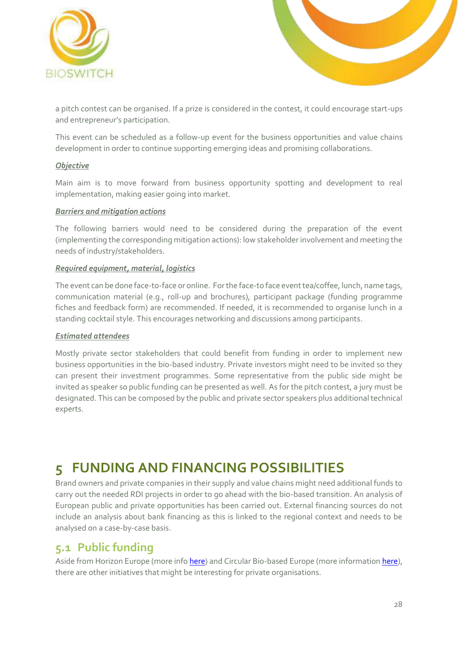



a pitch contest can be organised. If a prize is considered in the contest, it could encourage start-ups and entrepreneur's participation.

This event can be scheduled as a follow-up event for the business opportunities and value chains development in order to continue supporting emerging ideas and promising collaborations.

#### *Objective*

Main aim is to move forward from business opportunity spotting and development to real implementation, making easier going into market.

#### *Barriers and mitigation actions*

The following barriers would need to be considered during the preparation of the event (implementing the corresponding mitigation actions): low stakeholder involvement and meeting the needs of industry/stakeholders.

### *Required equipment, material, logistics*

The event can be done face-to-face or online. For the face-to face event tea/coffee, lunch, name tags, communication material (e.g., roll-up and brochures), participant package (funding programme fiches and feedback form) are recommended. If needed, it is recommended to organise lunch in a standing cocktail style. This encourages networking and discussions among participants.

#### *Estimated attendees*

Mostly private sector stakeholders that could benefit from funding in order to implement new business opportunities in the bio-based industry. Private investors might need to be invited so they can present their investment programmes. Some representative from the public side might be invited as speaker so public funding can be presented as well. As for the pitch contest, a jury must be designated. This can be composed by the public and private sector speakers plus additional technical experts.

## <span id="page-27-0"></span>**5 FUNDING AND FINANCING POSSIBILITIES**

Brand owners and private companies in their supply and value chains might need additional funds to carry out the needed RDI projects in order to go ahead with the bio-based transition. An analysis of European public and private opportunities has been carried out. External financing sources do not include an analysis about bank financing as this is linked to the regional context and needs to be analysed on a case-by-case basis.

### <span id="page-27-1"></span>**5.1 Public funding**

Aside from Horizon Europe (more inf[o here\)](https://ec.europa.eu/info/research-and-innovation/funding/funding-opportunities/funding-programmes-and-open-calls/horizon-europe_en) and Circular Bio-based Europe (more informatio[n here\)](https://www.bbi.europa.eu/about/circular-bio-based-europe-joint-undertaking-cbe-ju), there are other initiatives that might be interesting for private organisations.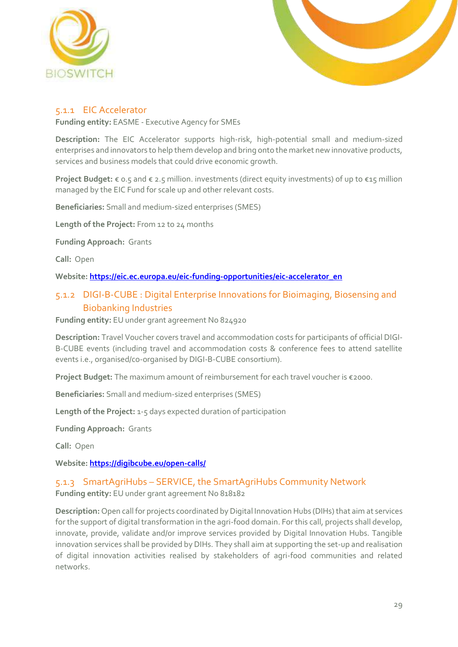



### <span id="page-28-0"></span>5.1.1 EIC Accelerator

**Funding entity:** EASME - Executive Agency for SMEs

**Description:** The EIC Accelerator supports high-risk, high-potential small and medium-sized enterprises and innovators to help them develop and bring onto the market new innovative products, services and business models that could drive economic growth.

**Project Budget:** € 0.5 and € 2.5 million. investments (direct equity investments) of up to €15 million managed by the EIC Fund for scale up and other relevant costs.

**Beneficiaries:** Small and medium-sized enterprises (SMES)

**Length of the Project:** From 12 to 24 months

**Funding Approach:** Grants

**Call:** Open

**Website[: https://eic.ec.europa.eu/eic-funding-opportunities/eic-accelerator\\_en](https://eic.ec.europa.eu/eic-funding-opportunities/eic-accelerator_en)**

### <span id="page-28-1"></span>5.1.2 DIGI-B-CUBE : Digital Enterprise Innovations for Bioimaging, Biosensing and Biobanking Industries

**Funding entity:** EU under grant agreement No 824920

**Description:** Travel Voucher covers travel and accommodation costs for participants of official DIGI-B-CUBE events (including travel and accommodation costs & conference fees to attend satellite events i.e., organised/co-organised by DIGI-B-CUBE consortium).

**Project Budget:** The maximum amount of reimbursement for each travel voucher is €2000.

**Beneficiaries:** Small and medium-sized enterprises (SMES)

**Length of the Project:** 1-5 days expected duration of participation

**Funding Approach:** Grants

**Call:** Open

**Website[: https://digibcube.eu/open-calls/](https://digibcube.eu/open-calls/)**

### <span id="page-28-2"></span>5.1.3 SmartAgriHubs – SERVICE, the SmartAgriHubs Community Network **Funding entity:** EU under grant agreement No 818182

**Description:** Open call for projects coordinated by Digital Innovation Hubs (DIHs) that aim at services for the support of digital transformation in the agri-food domain. For this call, projects shall develop, innovate, provide, validate and/or improve services provided by Digital Innovation Hubs. Tangible innovation services shall be provided by DIHs. They shall aim at supporting the set-up and realisation of digital innovation activities realised by stakeholders of agri-food communities and related networks.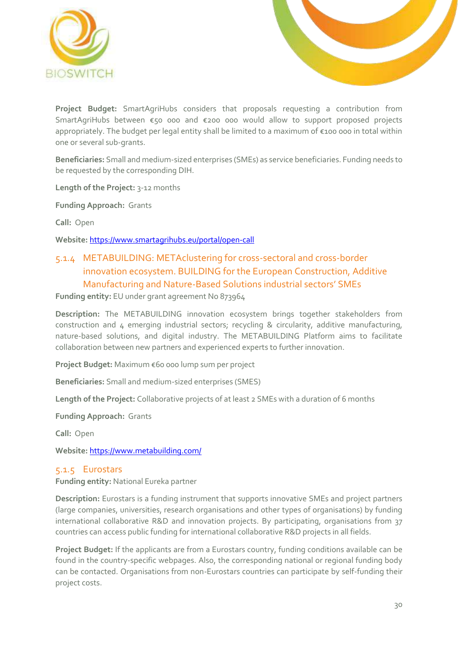



**Project Budget:** SmartAgriHubs considers that proposals requesting a contribution from SmartAgriHubs between €50 000 and €200 000 would allow to support proposed projects appropriately. The budget per legal entity shall be limited to a maximum of €100 000 in total within one or several sub-grants.

**Beneficiaries:** Small and medium-sized enterprises (SMEs) as service beneficiaries. Funding needs to be requested by the corresponding DIH.

**Length of the Project:** 3-12 months

**Funding Approach:** Grants

**Call:** Open

**Website:** <https://www.smartagrihubs.eu/portal/open-call>

### <span id="page-29-0"></span>5.1.4 METABUILDING: METAclustering for cross-sectoral and cross-border innovation ecosystem. BUILDING for the European Construction, Additive Manufacturing and Nature-Based Solutions industrial sectors' SMEs

**Funding entity:** EU under grant agreement No 873964

**Description:** The METABUILDING innovation ecosystem brings together stakeholders from construction and 4 emerging industrial sectors; recycling & circularity, additive manufacturing, nature-based solutions, and digital industry. The METABUILDING Platform aims to facilitate collaboration between new partners and experienced experts to further innovation.

**Project Budget:** Maximum €60 000 lump sum per project

**Beneficiaries:** Small and medium-sized enterprises (SMES)

**Length of the Project:** Collaborative projects of at least 2 SMEs with a duration of 6 months

**Funding Approach:** Grants

**Call:** Open

**Website:** <https://www.metabuilding.com/>

#### <span id="page-29-1"></span>5.1.5 Eurostars

**Funding entity:** National Eureka partner

**Description:** Eurostars is a funding instrument that supports innovative SMEs and project partners (large companies, universities, research organisations and other types of organisations) by funding international collaborative R&D and innovation projects. By participating, organisations from 37 countries can access public funding for international collaborative R&D projects in all fields.

**Project Budget:** If the applicants are from a Eurostars country, funding conditions available can be found in the country-specific webpages. Also, the corresponding national or regional funding body can be contacted. Organisations from non-Eurostars countries can participate by self-funding their project costs.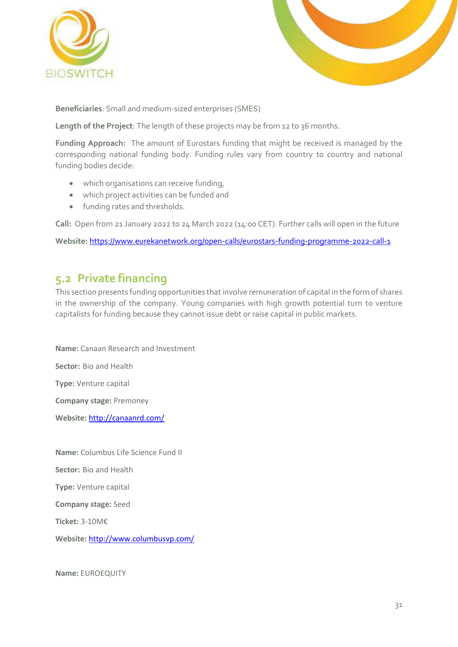



**Beneficiaries**: Small and medium-sized enterprises (SMES)

**Length of the Project**: The length of these projects may be from 12 to 36 months.

**Funding Approach:** The amount of Eurostars funding that might be received is managed by the corresponding national funding body. Funding rules vary from country to country and national funding bodies decide:

- which organisations can receive funding,
- which project activities can be funded and
- funding rates and thresholds.

**Call:** Open from 21 January 2022 to 24 March 2022 (14:00 CET). Further calls will open in the future

**Website:** <https://www.eurekanetwork.org/open-calls/eurostars-funding-programme-2022-call-1>

### <span id="page-30-0"></span>**5.2 Private financing**

This section presents funding opportunities that involve remuneration of capital in the form of shares in the ownership of the company. Young companies with high growth potential turn to venture capitalists for funding because they cannot issue debt or raise capital in public markets.

**Name:** Canaan Research and Investment **Sector:** Bio and Health **Type:** Venture capital **Company stage:** Premoney **Website:** <http://canaanrd.com/> **Name:** Columbus Life Science Fund II **Sector:** Bio and Health

**Type:** Venture capital

**Company stage:** Seed

**Ticket:** 3-10M€

**Website:** <http://www.columbusvp.com/>

**Name:** EUROEQUITY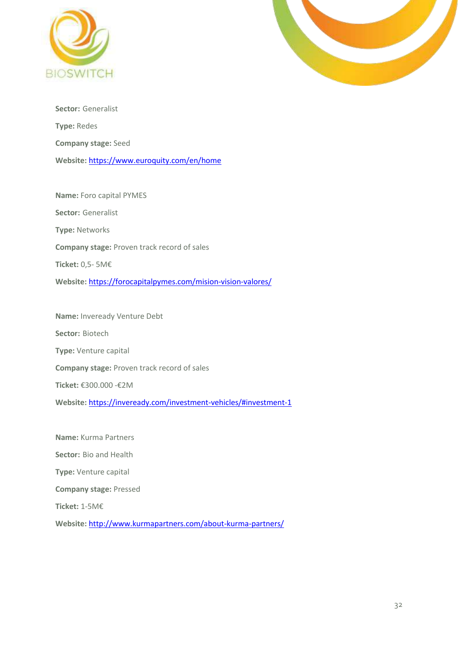



**Sector:** Generalist **Type:** Redes **Company stage:** Seed **Website:** <https://www.euroquity.com/en/home>

**Name:** Foro capital PYMES **Sector:** Generalist **Type:** Networks **Company stage:** Proven track record of sales **Ticket:** 0,5- 5M€ **Website:** <https://forocapitalpymes.com/mision-vision-valores/>

**Name:** Inveready Venture Debt **Sector:** Biotech **Type:** Venture capital **Company stage:** Proven track record of sales **Ticket:** €300.000 -€2M **Website:** <https://inveready.com/investment-vehicles/#investment-1>

**Name:** Kurma Partners **Sector:** Bio and Health **Type:** Venture capital **Company stage:** Pressed **Ticket:** 1-5M€ **Website:** <http://www.kurmapartners.com/about-kurma-partners/>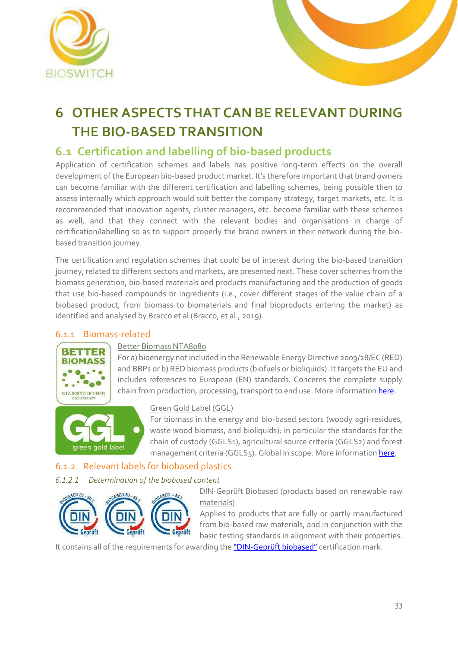



# <span id="page-32-0"></span>**6 OTHER ASPECTS THAT CAN BE RELEVANT DURING THE BIO-BASED TRANSITION**

### <span id="page-32-1"></span>**6.1 Certification and labelling of bio-based products**

Application of certification schemes and labels has positive long-term effects on the overall development of the European bio-based product market. It's therefore important that brand owners can become familiar with the different certification and labelling schemes, being possible then to assess internally which approach would suit better the company strategy, target markets, etc. It is recommended that innovation agents, cluster managers, etc. become familiar with these schemes as well, and that they connect with the relevant bodies and organisations in charge of certification/labelling so as to support properly the brand owners in their network during the biobased transition journey.

The certification and regulation schemes that could be of interest during the bio-based transition journey, related to different sectors and markets, are presented next. These cover schemes from the biomass generation, bio-based materials and products manufacturing and the production of goods that use bio-based compounds or ingredients (i.e., cover different stages of the value chain of a biobased product, from biomass to biomaterials and final bioproducts entering the market) as identified and analysed by Bracco et al (Bracco, et al., 2019).

### <span id="page-32-2"></span>6.1.1 Biomass-related



### Better Biomass NTA8080

For a) bioenergy not included in the Renewable Energy Directive 2009/28/EC (RED) and BBPs or b) RED biomass products (biofuels or bioliquids). It targets the EU and includes references to European (EN) standards. Concerns the complete supply chain from production, processing, transport to end use. More informatio[n here.](https://www.betterbiomass.com/)



### Green Gold Label (GGL)

For biomass in the energy and bio-based sectors (woody agri-residues, waste wood biomass, and bioliquids): in particular the standards for the chain of custody (GGLS1), agricultural source criteria (GGLS2) and forest management criteria (GGLS5). Global in scope. More informatio[n here.](https://greengoldlabel.com/)

### <span id="page-32-3"></span>6.1.2 Relevant labels for biobased plastics

### *6.1.2.1 Determination of the biobased content*



DIN-Geprüft Biobased (products based on renewable raw materials)

Applies to products that are fully or partly manufactured from bio-based raw materials, and in conjunction with the basic testing standards in alignment with their properties.

It contains all of the requirements for awarding the "DIN-[Geprüft biobased"](https://www.dincertco.de/din-certco/en/main-navigation/products-and-services/certification-of-products/packaging/biobased-products/) certification mark.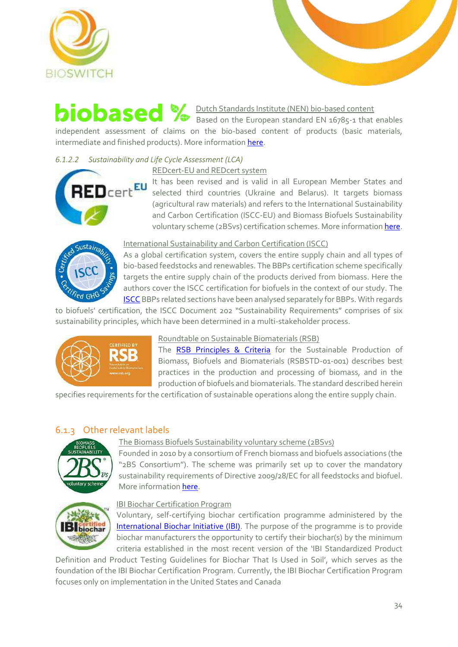



### Dutch Standards Institute (NEN) bio-based content Based on the European standard EN 16785-1 that enables

independent assessment of claims on the bio-based content of products (basic materials, intermediate and finished products). More informatio[n here.](https://www.tuv-at.be/es/green-marks/certificaciones/nen-bio-based-content/)

### *6.1.2.2 Sustainability and Life Cycle Assessment (LCA)*

### REDcert-EU and REDcert system



It has been revised and is valid in all European Member States and selected third countries (Ukraine and Belarus). It targets biomass (agricultural raw materials) and refers to the International Sustainability and Carbon Certification (ISCC-EU) and Biomass Biofuels Sustainability voluntary scheme (2BSvs) certification schemes. More information [here.](https://www.redcert.org/en/)

# ustain-'ed GH

International Sustainability and Carbon Certification (ISCC)

As a global certification system, covers the entire supply chain and all types of bio-based feedstocks and renewables. The BBPs certification scheme specifically targets the entire supply chain of the products derived from biomass. Here the authors cover the ISCC certification for biofuels in the context of our study. The [ISCC](https://www.iscc-system.org/) BBPs related sections have been analysed separately for BBPs. With regards

to biofuels' certification, the ISCC Document 202 "Sustainability Requirements" comprises of six sustainability principles, which have been determined in a multi-stakeholder process.



### Roundtable on Sustainable Biomaterials (RSB)

The [RSB Principles & Criteria](https://rsb.org/) for the Sustainable Production of Biomass, Biofuels and Biomaterials (RSBSTD-01-001) describes best practices in the production and processing of biomass, and in the production of biofuels and biomaterials. The standard described herein

specifies requirements for the certification of sustainable operations along the entire supply chain.

### <span id="page-33-0"></span>6.1.3 Other relevant labels



### The Biomass Biofuels Sustainability voluntary scheme (2BSvs)

Founded in 2010 by a consortium of French biomass and biofuels associations (the "2BS Consortium"). The scheme was primarily set up to cover the mandatory sustainability requirements of Directive 2009/28/EC for all feedstocks and biofuel. More information [here.](https://www.2bsvs.org/lg_en.html)



### IBI Biochar Certification Program

Voluntary, self-certifying biochar certification programme administered by the International [Biochar Initiative \(IBI\).](https://biochar-international.org/certification-program/) The purpose of the programme is to provide biochar manufacturers the opportunity to certify their biochar(s) by the minimum criteria established in the most recent version of the 'IBI Standardized Product

Definition and Product Testing Guidelines for Biochar That Is Used in Soil', which serves as the foundation of the IBI Biochar Certification Program. Currently, the IBI Biochar Certification Program focuses only on implementation in the United States and Canada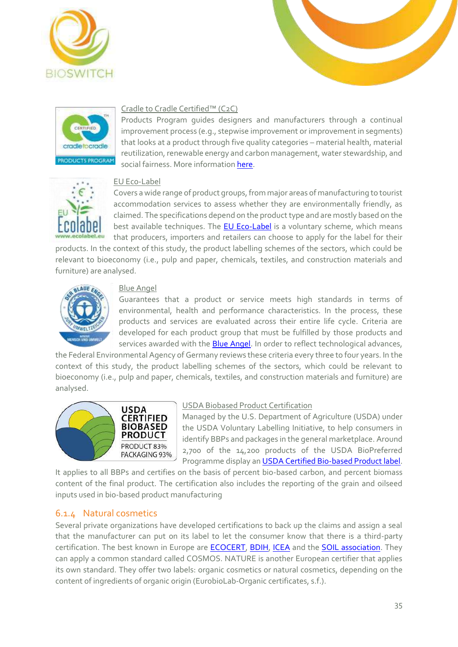





### Cradle to Cradle Certified™ (C2C)

Products Program guides designers and manufacturers through a continual improvement process (e.g., stepwise improvement or improvement in segments) that looks at a product through five quality categories – material health, material reutilization, renewable energy and carbon management, water stewardship, and social fairness. More information [here.](https://www.c2ccertified.org/get-certified/product-certification)



### EU Eco-Label

Covers a wide range of product groups, from major areas of manufacturing to tourist accommodation services to assess whether they are environmentally friendly, as claimed. The specifications depend on the product type and are mostly based on the best available techniques. The [EU Eco-Label](http://ec.europa.eu/environment/ecolabel/products-groups-and-criteria.html) is a voluntary scheme, which means that producers, importers and retailers can choose to apply for the label for their

products. In the context of this study, the product labelling schemes of the sectors, which could be relevant to bioeconomy (i.e., pulp and paper, chemicals, textiles, and construction materials and furniture) are analysed.



#### Blue Angel

Guarantees that a product or service meets high standards in terms of environmental, health and performance characteristics. In the process, these products and services are evaluated across their entire life cycle. Criteria are developed for each product group that must be fulfilled by those products and services awarded with the **Blue Angel**. In order to reflect technological advances,

the Federal Environmental Agency of Germany reviews these criteria every three to four years. In the context of this study, the product labelling schemes of the sectors, which could be relevant to bioeconomy (i.e., pulp and paper, chemicals, textiles, and construction materials and furniture) are analysed.



#### USDA Biobased Product Certification

Managed by the U.S. Department of Agriculture (USDA) under the USDA Voluntary Labelling Initiative, to help consumers in identify BBPs and packages in the general marketplace. Around 2,700 of the 14,200 products of the USDA BioPreferred Programme display an [USDA Certified Bio-based Product label.](https://www.biopreferred.gov/)

It applies to all BBPs and certifies on the basis of percent bio-based carbon, and percent biomass content of the final product. The certification also includes the reporting of the grain and oilseed inputs used in bio-based product manufacturing

### <span id="page-34-0"></span>6.1.4 Natural cosmetics

Several private organizations have developed certifications to back up the claims and assign a seal that the manufacturer can put on its label to let the consumer know that there is a third-party certification. The best known in Europe are [ECOCERT,](https://www.ecocert.com/en/certification-detail/natural-and-organic-cosmetics-cosmos) [BDIH,](http://eurobiolab.com/our-certificates-and-standards) [ICEA](https://icea.bio/en/certifications/non-food/) and the [SOIL association.](https://www.soilassociation.org/take-action/organic-living/beauty-wellbeing/) They can apply a common standard called COSMOS. NATURE is another European certifier that applies its own standard. They offer two labels: organic cosmetics or natural cosmetics, depending on the content of ingredients of organic origin (EurobioLab-Organic certificates, s.f.).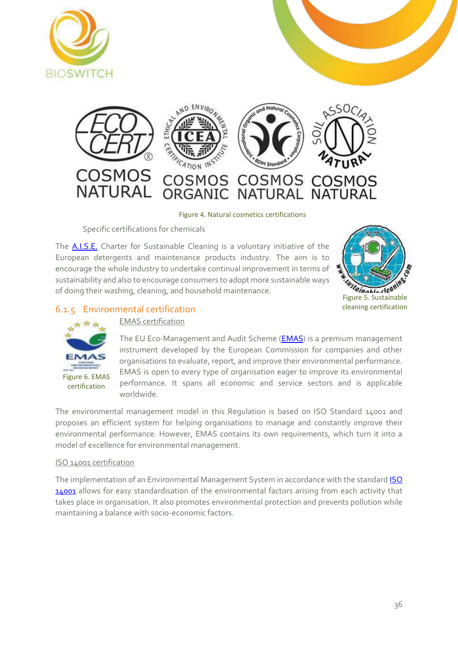



Figure 4. Natural cosmetics certifications

Specific certifications for chemicals

<span id="page-35-1"></span>The [A.I.S.E.](https://www.aise.eu/our-activities/sustainable-cleaning-78.aspx) Charter for Sustainable Cleaning is a voluntary initiative of the European detergents and maintenance products industry. The aim is to encourage the whole industry to undertake continual improvement in terms of sustainability and also to encourage consumers to adopt more sustainable ways of doing their washing, cleaning, and household maintenance.



### <span id="page-35-0"></span>6.1.5 Environmental certification



EMAS certification

The EU Eco-Management and Audit Scheme (**EMAS**) is a premium management instrument developed by the European Commission for companies and other organisations to evaluate, report, and improve their environmental performance. EMAS is open to every type of organisation eager to improve its environmental performance. It spans all economic and service sectors and is applicable worldwide.

The environmental management model in this Regulation is based on ISO Standard 14001 and proposes an efficient system for helping organisations to manage and constantly improve their environmental performance. However, EMAS contains its own requirements, which turn it into a model of excellence for environmental management.

#### ISO 14001 certification

The implementation of an Environmental Management System in accordance with the standar[d ISO](https://www.iso.org/iso-14001-environmental-management.html)  [14001](https://www.iso.org/iso-14001-environmental-management.html) allows for easy standardisation of the environmental factors arising from each activity that takes place in organisation. It also promotes environmental protection and prevents pollution while maintaining a balance with socio-economic factors.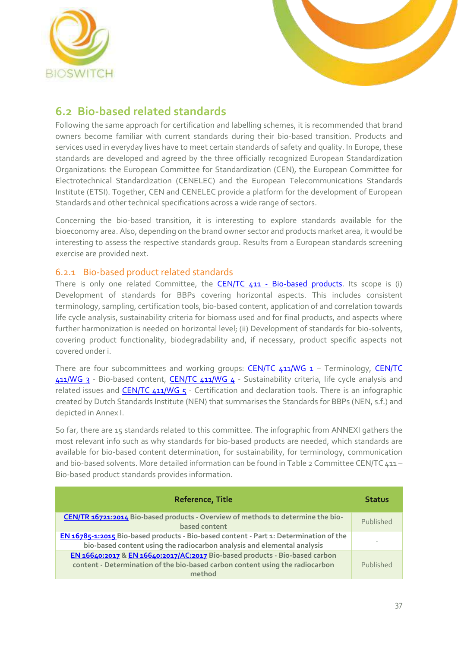



### <span id="page-36-0"></span>**6.2 Bio-based related standards**

Following the same approach for certification and labelling schemes, it is recommended that brand owners become familiar with current standards during their bio-based transition. Products and services used in everyday lives have to meet certain standards of safety and quality. In Europe, these standards are developed and agreed by the three officially recognized European Standardization Organizations: the European Committee for Standardization (CEN), the European Committee for Electrotechnical Standardization (CENELEC) and the European Telecommunications Standards Institute (ETSI). Together, CEN and CENELEC provide a platform for the development of European Standards and other technical specifications across a wide range of sectors.

Concerning the bio-based transition, it is interesting to explore standards available for the bioeconomy area. Also, depending on the brand owner sector and products market area, it would be interesting to assess the respective standards group. Results from a European standards screening exercise are provided next.

### <span id="page-36-1"></span>6.2.1 Bio-based product related standards

There is only one related Committee, the CEN/TC 411 - [Bio-based products.](https://standards.cen.eu/dyn/www/f?p=204:7:0::::FSP_ORG_ID:874780&cs=112703B035FC937E906D8EFA5DA87FAB8) Its scope is (i) Development of standards for BBPs covering horizontal aspects. This includes consistent terminology, sampling, certification tools, bio-based content, application of and correlation towards life cycle analysis, sustainability criteria for biomass used and for final products, and aspects where further harmonization is needed on horizontal level; (ii) Development of standards for bio-solvents, covering product functionality, biodegradability and, if necessary, product specific aspects not covered under i.

There are four subcommittees and working groups:  $CEN/TC$   $411/WG$   $1 -$  Terminology,  $CEN/TC$ [411/WG 3](https://standards.cen.eu/dyn/www/f?p=CENWEB:7:0::::FSP_ORG_ID:904047&cs=1056E67484120CF58BEDB2400D49C01D0) - Bio-based content, [CEN/TC 411/WG 4](https://standards.cen.eu/dyn/www/f?p=CENWEB:7:0::::FSP_ORG_ID:904048&cs=1287DD74F9A2ACF0D0473C4B34EA944FE) - Sustainability criteria, life cycle analysis and related issues and CEN/TC  $411/WG$   $5$  - Certification and declaration tools. There is an infographic created by Dutch Standards Institute (NEN) that summarises the Standards for BBPs (NEN, s.f.) and depicted in Annex I.

So far, there are 15 standards related to this committee. The infographic from ANNEXI gathers the most relevant info such as why standards for bio-based products are needed, which standards are available for bio-based content determination, for sustainability, for terminology, communication and bio-based solvents. More detailed information can be found in Table 2 [Committee CEN/TC 411](#page-37-1) -[Bio-based product standards](#page-37-1) provides information.

| <b>Reference, Title</b>                                                                                                                                                | <b>Status</b> |
|------------------------------------------------------------------------------------------------------------------------------------------------------------------------|---------------|
| CEN/TR 16721:2014 Bio-based products - Overview of methods to determine the bio-<br>based content                                                                      | Published     |
| EN 16785-1:2015 Bio-based products - Bio-based content - Part 1: Determination of the<br>bio-based content using the radiocarbon analysis and elemental analysis       |               |
| EN 16640:2017 & EN 16640:2017/AC:2017 Bio-based products - Bio-based carbon<br>content - Determination of the bio-based carbon content using the radiocarbon<br>method | Published     |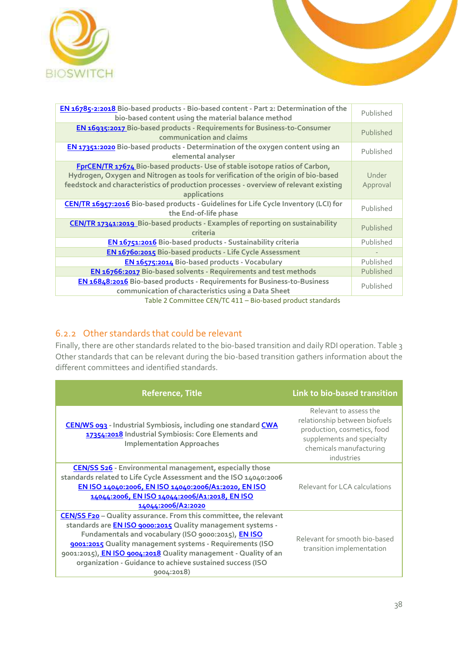



| EN 16785-2:2018 Bio-based products - Bio-based content - Part 2: Determination of the<br>bio-based content using the material balance method                                                                                                                               | Published         |
|----------------------------------------------------------------------------------------------------------------------------------------------------------------------------------------------------------------------------------------------------------------------------|-------------------|
| EN 16935:2017 Bio-based products - Requirements for Business-to-Consumer<br>communication and claims                                                                                                                                                                       | Published         |
| EN 17351:2020 Bio-based products - Determination of the oxygen content using an<br>elemental analyser                                                                                                                                                                      | Published         |
| FprCEN/TR 17674 Bio-based products- Use of stable isotope ratios of Carbon,<br>Hydrogen, Oxygen and Nitrogen as tools for verification of the origin of bio-based<br>feedstock and characteristics of production processes - overview of relevant existing<br>applications | Under<br>Approval |
| CEN/TR 16957:2016 Bio-based products - Guidelines for Life Cycle Inventory (LCI) for<br>the End-of-life phase                                                                                                                                                              | Published         |
| CEN/TR 17341:2019 Bio-based products - Examples of reporting on sustainability<br>criteria                                                                                                                                                                                 | Published         |
| EN 16751:2016 Bio-based products - Sustainability criteria                                                                                                                                                                                                                 | Published         |
| EN 16760:2015 Bio-based products - Life Cycle Assessment                                                                                                                                                                                                                   |                   |
| EN 16575:2014 Bio-based products - Vocabulary                                                                                                                                                                                                                              | Published         |
| EN 16766:2017 Bio-based solvents - Requirements and test methods                                                                                                                                                                                                           | Published         |
| EN 16848:2016 Bio-based products - Requirements for Business-to-Business<br>communication of characteristics using a Data Sheet                                                                                                                                            | Published         |
| Table 2 Committee CEN/TC 411 - Bio-based product standards                                                                                                                                                                                                                 |                   |

### <span id="page-37-1"></span><span id="page-37-0"></span>6.2.2 Other standards that could be relevant

Finally, there are other standards related to the bio-based transition and daily RDI operation. [Table 3](#page-38-1) [Other standards that can be relevant during the bio-based transition](#page-38-1) gathers information about the different committees and identified standards.

| <b>Reference, Title</b>                                                                                                                                                                                                                                                                                                                                                                                         | Link to bio-based transition                                                                                                                                 |
|-----------------------------------------------------------------------------------------------------------------------------------------------------------------------------------------------------------------------------------------------------------------------------------------------------------------------------------------------------------------------------------------------------------------|--------------------------------------------------------------------------------------------------------------------------------------------------------------|
| CEN/WS 093 - Industrial Symbiosis, including one standard CWA<br>17354:2018 Industrial Symbiosis: Core Elements and<br><b>Implementation Approaches</b>                                                                                                                                                                                                                                                         | Relevant to assess the<br>relationship between biofuels<br>production, cosmetics, food<br>supplements and specialty<br>chemicals manufacturing<br>industries |
| <b>CEN/SS S26</b> - Environmental management, especially those<br>standards related to Life Cycle Assessment and the ISO 14040:2006<br>EN ISO 14040:2006, EN ISO 14040:2006/A1:2020, EN ISO<br>14044:2006, EN ISO 14044:2006/A1:2018, EN ISO<br>14044:2006/A2:2020                                                                                                                                              | Relevant for LCA calculations                                                                                                                                |
| <b>CEN/SS F20</b> - Quality assurance. From this committee, the relevant<br>standards are <b>EN ISO 9000:2015</b> Quality management systems -<br>Fundamentals and vocabulary (ISO 9000:2015), EN ISO<br>9001:2015 Quality management systems - Requirements (ISO<br>9001:2015), EN ISO 9004:2018 Quality management - Quality of an<br>organization - Guidance to achieve sustained success (ISO<br>9004:2018) | Relevant for smooth bio-based<br>transition implementation                                                                                                   |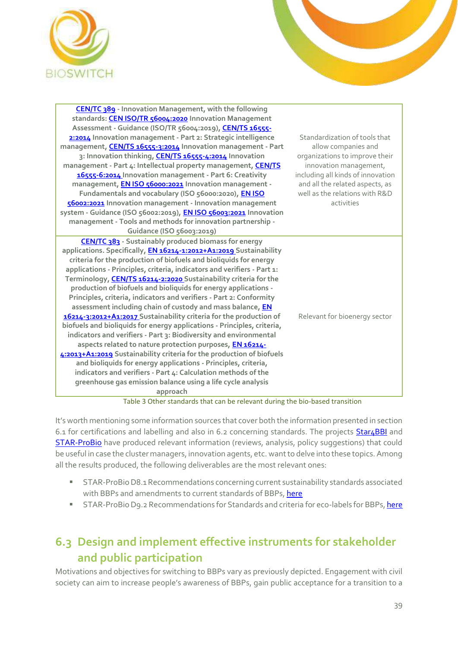



| CEN/TC 389 - Innovation Management, with the following<br>standards: <b>CEN ISO/TR 56004:2020</b> Innovation Management<br>Assessment - Guidance (ISO/TR 56004:2019), CEN/TS 16555-<br>2:2014 Innovation management - Part 2: Strategic intelligence<br>management, CEN/TS 16555-3:2014 Innovation management - Part<br>3: Innovation thinking, CEN/TS 16555-4:2014 Innovation<br>management - Part 4: Intellectual property management, CEN/TS<br>16555-6:2014 Innovation management - Part 6: Creativity<br>management, <b>EN ISO 56000:2021</b> Innovation management -<br>Fundamentals and vocabulary (ISO 56000:2020), EN ISO<br>56002:2021 Innovation management - Innovation management<br>system - Guidance (ISO 56002:2019), EN ISO 56003:2021 Innovation<br>management - Tools and methods for innovation partnership -<br>Guidance (ISO 56003:2019)                                                                                                                                                                                                                                                                  | Standardization of tools that<br>allow companies and<br>organizations to improve their<br>innovation management,<br>including all kinds of innovation<br>and all the related aspects, as<br>well as the relations with R&D<br>activities |
|---------------------------------------------------------------------------------------------------------------------------------------------------------------------------------------------------------------------------------------------------------------------------------------------------------------------------------------------------------------------------------------------------------------------------------------------------------------------------------------------------------------------------------------------------------------------------------------------------------------------------------------------------------------------------------------------------------------------------------------------------------------------------------------------------------------------------------------------------------------------------------------------------------------------------------------------------------------------------------------------------------------------------------------------------------------------------------------------------------------------------------|------------------------------------------------------------------------------------------------------------------------------------------------------------------------------------------------------------------------------------------|
| CEN/TC 383 - Sustainably produced biomass for energy<br>applications. Specifically, EN 16214-1:2012+A1:2019 Sustainability<br>criteria for the production of biofuels and bioliquids for energy<br>applications - Principles, criteria, indicators and verifiers - Part 1:<br>Terminology, CEN/TS 16214-2:2020 Sustainability criteria for the<br>production of biofuels and bioliquids for energy applications -<br>Principles, criteria, indicators and verifiers - Part 2: Conformity<br>assessment including chain of custody and mass balance, EN<br>16214-3:2012+A1:2017 Sustainability criteria for the production of<br>biofuels and bioliquids for energy applications - Principles, criteria,<br>indicators and verifiers - Part 3: Biodiversity and environmental<br>aspects related to nature protection purposes, EN 16214-<br>4:2013+A1:2019 Sustainability criteria for the production of biofuels<br>and bioliquids for energy applications - Principles, criteria,<br>indicators and verifiers - Part 4: Calculation methods of the<br>greenhouse gas emission balance using a life cycle analysis<br>approach | Relevant for bioenergy sector                                                                                                                                                                                                            |

Table 3 Other standards that can be relevant during the bio-based transition

<span id="page-38-1"></span>It's worth mentioning some information sources that cover both the information presented in section 6.1 for certifications and labelling and also in 6.2 concerning standards. The projects **Star4BBI** and [STAR-ProBio](http://www.star-probio.eu/) have produced relevant information (reviews, analysis, policy suggestions) that could be useful in case the cluster managers, innovation agents, etc. want to delve into these topics. Among all the results produced, the following deliverables are the most relevant ones:

- STAR-ProBioD8.1 Recommendations concerning current sustainability standards associated with BBPs and amendments to current standards of BBPs[, here](http://www.star-probio.eu/wp-content/uploads/2017/04/D8.1_Recommendations-concerning-current-sustainability-standards-associated-with-bio-based-products-and-amendments-to-current-standards-of-bio-based-products.pdf)
- STAR-ProBio D9.2 Recommendations for Standards and criteria for eco-labels for BBPs[, here](http://www.star-probio.eu/wp-content/uploads/2017/04/STAR-ProBio_D9.2_final.pdf)

### <span id="page-38-0"></span>**6.3 Design and implement effective instruments for stakeholder and public participation**

Motivations and objectives for switching to BBPs vary as previously depicted. Engagement with civil society can aim to increase people's awareness of BBPs, gain public acceptance for a transition to a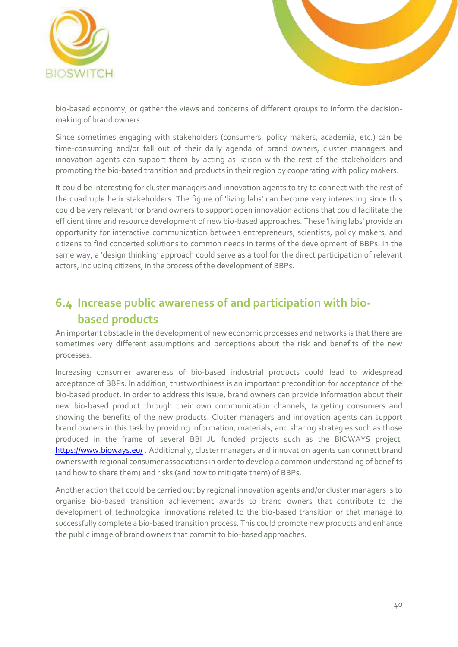



bio-based economy, or gather the views and concerns of different groups to inform the decisionmaking of brand owners.

Since sometimes engaging with stakeholders (consumers, policy makers, academia, etc.) can be time-consuming and/or fall out of their daily agenda of brand owners, cluster managers and innovation agents can support them by acting as liaison with the rest of the stakeholders and promoting the bio-based transition and products in their region by cooperating with policy makers.

It could be interesting for cluster managers and innovation agents to try to connect with the rest of the quadruple helix stakeholders. The figure of 'living labs' can become very interesting since this could be very relevant for brand owners to support open innovation actions that could facilitate the efficient time and resource development of new bio-based approaches. These 'living labs' provide an opportunity for interactive communication between entrepreneurs, scientists, policy makers, and citizens to find concerted solutions to common needs in terms of the development of BBPs. In the same way, a 'design thinking' approach could serve as a tool for the direct participation of relevant actors, including citizens, in the process of the development of BBPs.

### <span id="page-39-0"></span>**6.4 Increase public awareness of and participation with biobased products**

An important obstacle in the development of new economic processes and networks is that there are sometimes very different assumptions and perceptions about the risk and benefits of the new processes.

Increasing consumer awareness of bio-based industrial products could lead to widespread acceptance of BBPs. In addition, trustworthiness is an important precondition for acceptance of the bio-based product. In order to address this issue, brand owners can provide information about their new bio-based product through their own communication channels, targeting consumers and showing the benefits of the new products. Cluster managers and innovation agents can support brand owners in this task by providing information, materials, and sharing strategies such as those produced in the frame of several BBI JU funded projects such as the BIOWAYS project, <https://www.bioways.eu/>. Additionally, cluster managers and innovation agents can connect brand owners with regional consumer associations in order to develop a common understanding of benefits (and how to share them) and risks (and how to mitigate them) of BBPs.

Another action that could be carried out by regional innovation agents and/or cluster managers is to organise bio-based transition achievement awards to brand owners that contribute to the development of technological innovations related to the bio-based transition or that manage to successfully complete a bio-based transition process. This could promote new products and enhance the public image of brand owners that commit to bio-based approaches.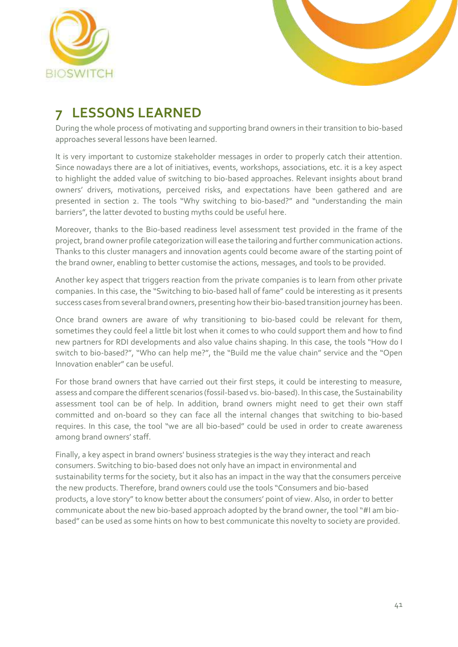



# <span id="page-40-0"></span>**7 LESSONS LEARNED**

During the whole process of motivating and supporting brand owners in their transition to bio-based approaches several lessons have been learned.

It is very important to customize stakeholder messages in order to properly catch their attention. Since nowadays there are a lot of initiatives, events, workshops, associations, etc. it is a key aspect to highlight the added value of switching to bio-based approaches. Relevant insights about brand owners' drivers, motivations, perceived risks, and expectations have been gathered and are presented in section 2. The tools "Why switching to bio-based?" and "understanding the main barriers", the latter devoted to busting myths could be useful here.

Moreover, thanks to the Bio-based readiness level assessment test provided in the frame of the project, brand owner profile categorization will ease the tailoring and further communication actions. Thanks to this cluster managers and innovation agents could become aware of the starting point of the brand owner, enabling to better customise the actions, messages, and tools to be provided.

Another key aspect that triggers reaction from the private companies is to learn from other private companies. In this case, the "Switching to bio-based hall of fame" could be interesting as it presents success cases from several brand owners, presenting how their bio-based transition journey has been.

Once brand owners are aware of why transitioning to bio-based could be relevant for them, sometimes they could feel a little bit lost when it comes to who could support them and how to find new partners for RDI developments and also value chains shaping. In this case, the tools "How do I switch to bio-based?", "Who can help me?", the "Build me the value chain" service and the "Open Innovation enabler" can be useful.

For those brand owners that have carried out their first steps, it could be interesting to measure, assess and compare the different scenarios (fossil-based vs. bio-based). In this case, the Sustainability assessment tool can be of help. In addition, brand owners might need to get their own staff committed and on-board so they can face all the internal changes that switching to bio-based requires. In this case, the tool "we are all bio-based" could be used in order to create awareness among brand owners' staff.

Finally, a key aspect in brand owners' business strategies is the way they interact and reach consumers. Switching to bio-based does not only have an impact in environmental and sustainability terms for the society, but it also has an impact in the way that the consumers perceive the new products. Therefore, brand owners could use the tools "Consumers and bio-based products, a love story" to know better about the consumers' point of view. Also, in order to better communicate about the new bio-based approach adopted by the brand owner, the tool "#I am biobased" can be used as some hints on how to best communicate this novelty to society are provided.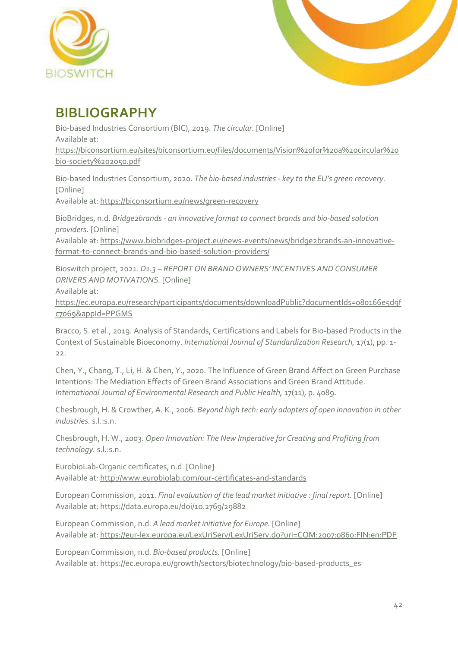



# <span id="page-41-0"></span>**BIBLIOGRAPHY**

Bio-based Industries Consortium (BIC), 2019. *The circular.* [Online] Available at: https://biconsortium.eu/sites/biconsortium.eu/files/documents/Vision%20for%20a%20circular%20 bio-society%202050.pdf

Bio-based Industries Consortium, 2020. *The bio-based industries - key to the EU's green recovery.*  [Online]

Available at: https://biconsortium.eu/news/green-recovery

BioBridges, n.d. *Bridge2brands - an innovative format to connect brands and bio-based solution providers.* [Online]

Available at: https://www.biobridges-project.eu/news-events/news/bridge2brands-an-innovativeformat-to-connect-brands-and-bio-based-solution-providers/

Bioswitch project, 2021. *D1.3 – REPORT ON BRAND OWNERS' INCENTIVES AND CONSUMER DRIVERS AND MOTIVATIONS.* [Online] Available at:

https://ec.europa.eu/research/participants/documents/downloadPublic?documentIds=080166e5d9f c7069&appId=PPGMS

Bracco, S. et al., 2019. Analysis of Standards, Certifications and Labels for Bio-based Products in the Context of Sustainable Bioeconomy. *International Journal of Standardization Research,* 17(1), pp. 1- 22.

Chen, Y., Chang, T., Li, H. & Chen, Y., 2020. The Influence of Green Brand Affect on Green Purchase Intentions: The Mediation Effects of Green Brand Associations and Green Brand Attitude. *International Journal of Environmental Research and Public Health,* 17(11), p. 4089.

Chesbrough, H. & Crowther, A. K., 2006. *Beyond high tech: early adopters of open innovation in other industries.* s.l.:s.n.

Chesbrough, H. W., 2003. *Open Innovation: The New Imperative for Creating and Profiting from technology.* s.l.:s.n.

EurobioLab-Organic certificates, n.d. [Online] Available at: http://www.eurobiolab.com/our-certificates-and-standards

European Commission, 2011. *Final evaluation of the lead market initiative : final report.* [Online] Available at: https://data.europa.eu/doi/10.2769/29882

European Commission, n.d. *A lead market initiative for Europe.* [Online] Available at: https://eur-lex.europa.eu/LexUriServ/LexUriServ.do?uri=COM:2007:0860:FIN:en:PDF

European Commission, n.d. *Bio-based products.* [Online] Available at: https://ec.europa.eu/growth/sectors/biotechnology/bio-based-products\_es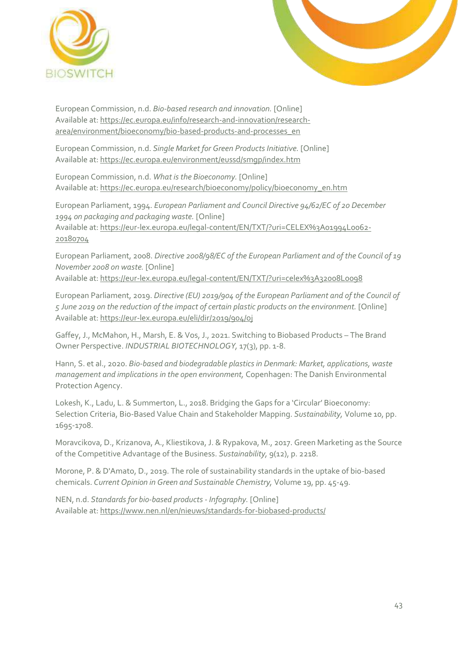



European Commission, n.d. *Bio-based research and innovation.* [Online] Available at: https://ec.europa.eu/info/research-and-innovation/researcharea/environment/bioeconomy/bio-based-products-and-processes\_en

European Commission, n.d. *Single Market for Green Products Initiative.* [Online] Available at: https://ec.europa.eu/environment/eussd/smgp/index.htm

European Commission, n.d. *What is the Bioeconomy.* [Online] Available at: https://ec.europa.eu/research/bioeconomy/policy/bioeconomy\_en.htm

European Parliament, 1994. *European Parliament and Council Directive 94/62/EC of 20 December 1994 on packaging and packaging waste.* [Online] Available at: https://eur-lex.europa.eu/legal-content/EN/TXT/?uri=CELEX%3A01994L0062- 20180704

European Parliament, 2008. *Directive 2008/98/EC of the European Parliament and of the Council of 19 November 2008 on waste.* [Online]

Available at: https://eur-lex.europa.eu/legal-content/EN/TXT/?uri=celex%3A32008L0098

European Parliament, 2019. *Directive (EU) 2019/904 of the European Parliament and of the Council of 5 June 2019 on the reduction of the impact of certain plastic products on the environment.* [Online] Available at: https://eur-lex.europa.eu/eli/dir/2019/904/oj

Gaffey, J., McMahon, H., Marsh, E. & Vos, J., 2021. Switching to Biobased Products – The Brand Owner Perspective. *INDUSTRIAL BIOTECHNOLOGY,* 17(3), pp. 1-8.

Hann, S. et al., 2020. *Bio-based and biodegradable plastics in Denmark: Market, applications, waste management and implications in the open environment,* Copenhagen: The Danish Environmental Protection Agency.

Lokesh, K., Ladu, L. & Summerton, L., 2018. Bridging the Gaps for a 'Circular' Bioeconomy: Selection Criteria, Bio-Based Value Chain and Stakeholder Mapping. *Sustainability,* Volume 10, pp. 1695-1708.

Moravcikova, D., Krizanova, A., Kliestikova, J. & Rypakova, M., 2017. Green Marketing as the Source of the Competitive Advantage of the Business. *Sustainability,* 9(12), p. 2218.

Morone, P. & D'Amato, D., 2019. The role of sustainability standards in the uptake of bio-based chemicals. *Current Opinion in Green and Sustainable Chemistry,* Volume 19, pp. 45-49.

NEN, n.d. *Standards for bio-based products - Infography.* [Online] Available at: https://www.nen.nl/en/nieuws/standards-for-biobased-products/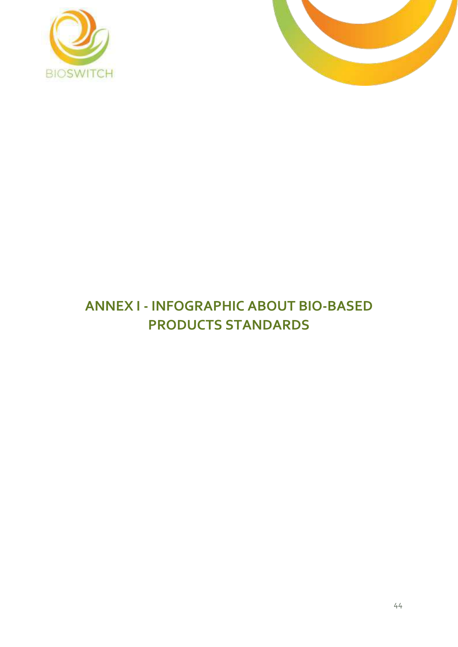



# <span id="page-43-0"></span>**ANNEX I - INFOGRAPHIC ABOUT BIO-BASED PRODUCTS STANDARDS**